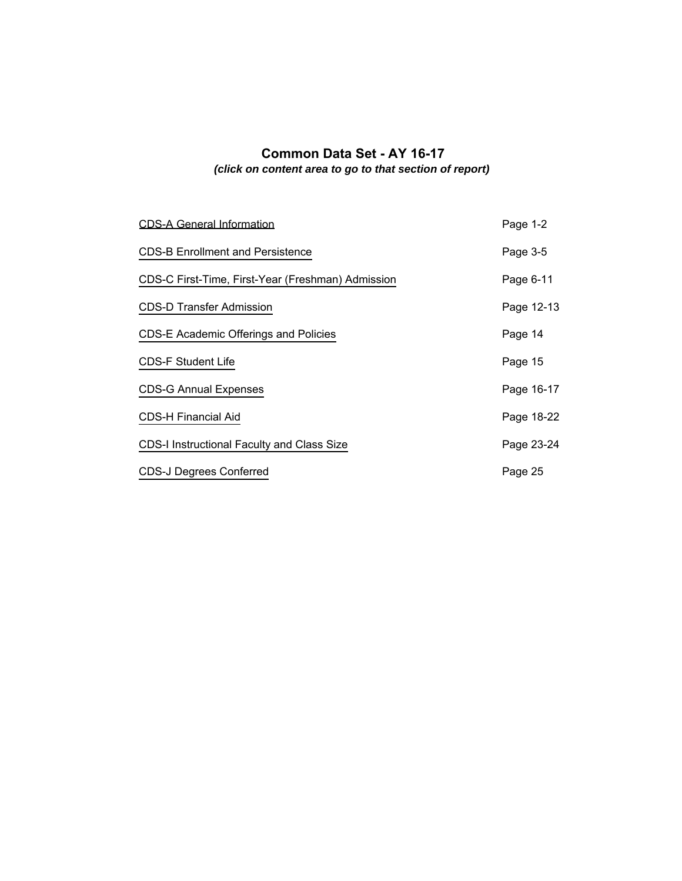# <span id="page-0-0"></span>**Common Data Set - AY 16-17** *(click on content area to go to that section of report)*

| <b>CDS-A General Information</b>                  | Page 1-2   |
|---------------------------------------------------|------------|
| <b>CDS-B Enrollment and Persistence</b>           | Page 3-5   |
| CDS-C First-Time, First-Year (Freshman) Admission | Page 6-11  |
| <b>CDS-D Transfer Admission</b>                   | Page 12-13 |
| <b>CDS-E Academic Offerings and Policies</b>      | Page 14    |
| <b>CDS-F Student Life</b>                         | Page 15    |
| <b>CDS-G Annual Expenses</b>                      | Page 16-17 |
| <b>CDS-H Financial Aid</b>                        | Page 18-22 |
| CDS-I Instructional Faculty and Class Size        | Page 23-24 |
| <b>CDS-J Degrees Conferred</b>                    | Page 25    |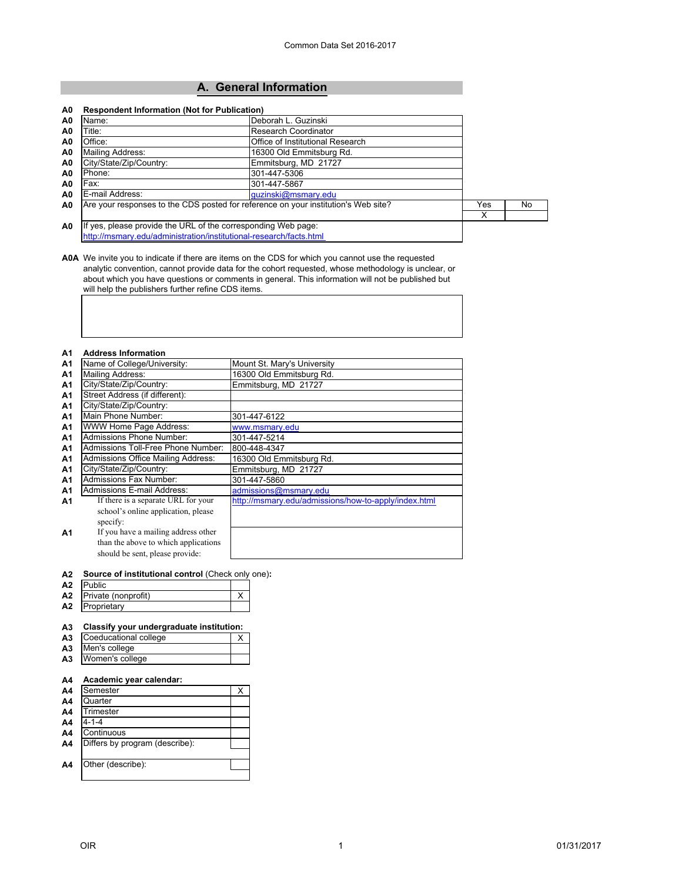# **[A. General Information](#page--1-0)**

<span id="page-1-0"></span>

| Name:                                                              | Deborah L. Guzinski                                                                |     |     |
|--------------------------------------------------------------------|------------------------------------------------------------------------------------|-----|-----|
| Title:                                                             | Research Coordinator                                                               |     |     |
| Office:                                                            | Office of Institutional Research                                                   |     |     |
| Mailing Address:                                                   | 16300 Old Emmitsburg Rd.                                                           |     |     |
| City/State/Zip/Country:                                            | Emmitsburg, MD 21727                                                               |     |     |
| Phone:                                                             | 301-447-5306                                                                       |     |     |
| Fax:                                                               | 301-447-5867                                                                       |     |     |
| E-mail Address:                                                    | quzinski@msmary.edu                                                                |     |     |
|                                                                    | Are your responses to the CDS posted for reference on your institution's Web site? | Yes | No. |
|                                                                    |                                                                                    | X   |     |
| If yes, please provide the URL of the corresponding Web page:      |                                                                                    |     |     |
| http://msmary.edu/administration/institutional-research/facts.html |                                                                                    |     |     |

**A0A** We invite you to indicate if there are items on the CDS for which you cannot use the requested analytic convention, cannot provide data for the cohort requested, whose methodology is unclear, or about which you have questions or comments in general. This information will not be published but will help the publishers further refine CDS items.

#### **A1 Address Information**

| A <sub>1</sub> | Name of College/University:          | Mount St. Mary's University                          |
|----------------|--------------------------------------|------------------------------------------------------|
| A1             | Mailing Address:                     | 16300 Old Emmitsburg Rd.                             |
| A1             | City/State/Zip/Country:              | Emmitsburg, MD 21727                                 |
| A1             | Street Address (if different):       |                                                      |
| A <sub>1</sub> | City/State/Zip/Country:              |                                                      |
| A <sub>1</sub> | Main Phone Number:                   | 301-447-6122                                         |
| A1             | WWW Home Page Address:               | www.msmary.edu                                       |
| A <sub>1</sub> | Admissions Phone Number:             | 301-447-5214                                         |
| A1             | Admissions Toll-Free Phone Number:   | 800-448-4347                                         |
| A1             | Admissions Office Mailing Address:   | 16300 Old Emmitsburg Rd.                             |
| A1             | City/State/Zip/Country:              | Emmitsburg, MD 21727                                 |
| A1             | Admissions Fax Number:               | 301-447-5860                                         |
| A1             | Admissions E-mail Address:           | admissions@msmary.edu                                |
| A1             | If there is a separate URL for your  | http://msmary.edu/admissions/how-to-apply/index.html |
|                | school's online application, please  |                                                      |
|                | specify:                             |                                                      |
| A1             | If you have a mailing address other  |                                                      |
|                | than the above to which applications |                                                      |
|                | should be sent, please provide:      |                                                      |
|                |                                      |                                                      |

#### **A2 Source of institutional control** (Check only one)**:**

| A2 | Public              |  |
|----|---------------------|--|
| Α2 | Private (nonprofit) |  |
| A2 | Proprietary         |  |

## **A3 Classify your undergraduate institution:**

| A <sub>3</sub> | Coeducational college |  |
|----------------|-----------------------|--|
| A <sub>3</sub> | Men's college         |  |
| A <sub>3</sub> | Women's college       |  |

### **A4 Academic year calendar:**

| Semester                       |  |
|--------------------------------|--|
| Quarter                        |  |
| Trimester                      |  |
| 4-1-4                          |  |
| Continuous                     |  |
| Differs by program (describe): |  |
|                                |  |
| Other (describe):              |  |
|                                |  |
|                                |  |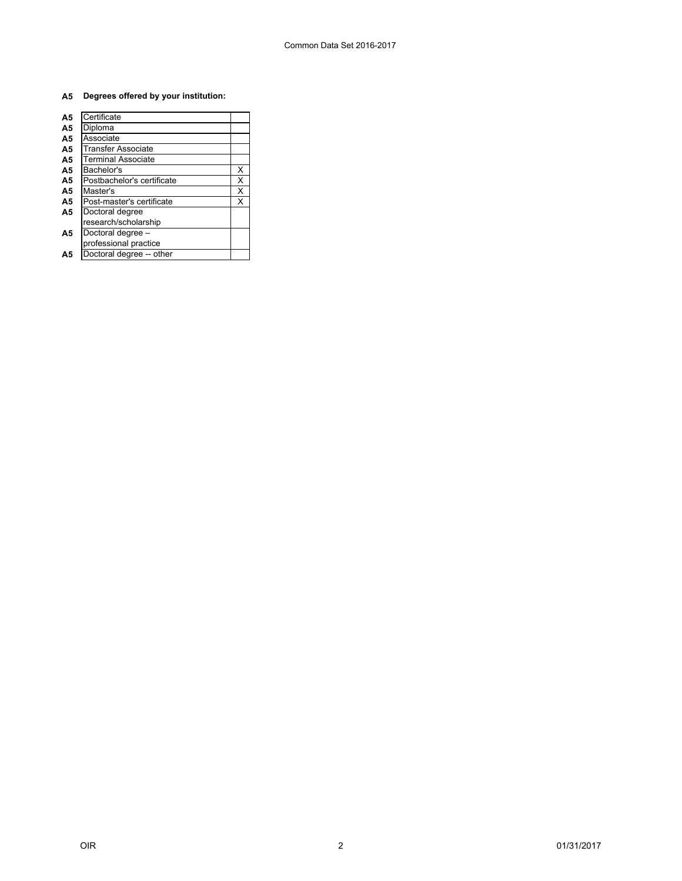## **A5 Degrees offered by your institution:**

| A <sub>5</sub> | Certificate                |   |
|----------------|----------------------------|---|
| A <sub>5</sub> | Diploma                    |   |
| A <sub>5</sub> | Associate                  |   |
| A5             | Transfer Associate         |   |
| A <sub>5</sub> | Terminal Associate         |   |
| A <sub>5</sub> | Bachelor's                 | х |
| A5             | Postbachelor's certificate | X |
| A <sub>5</sub> | Master's                   | X |
| A5             | Post-master's certificate  | X |
| A5             | Doctoral degree            |   |
|                | research/scholarship       |   |
| Α5             | Doctoral degree -          |   |
|                | professional practice      |   |
| Α5             | Doctoral degree -- other   |   |
|                |                            |   |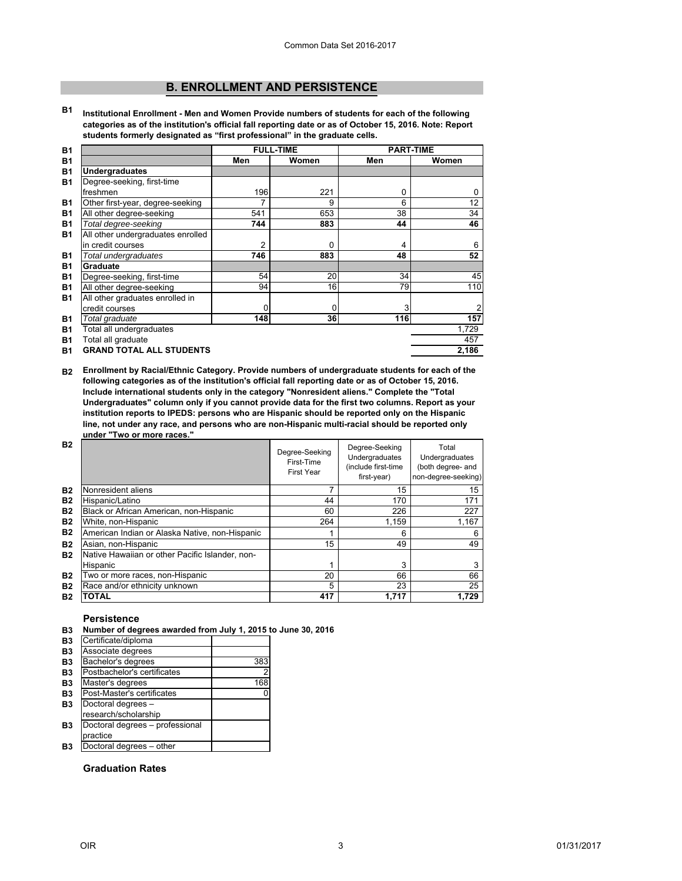# **[B. ENROLLMENT AND PERSISTENCE](#page--1-0)**

<span id="page-3-0"></span>**B1 Institutional Enrollment - Men and Women Provide numbers of students for each of the following categories as of the institution's official fall reporting date or as of October 15, 2016. Note: Report students formerly designated as "first professional" in the graduate cells.**

| <b>B1</b> |                                   | <b>FULL-TIME</b> | <b>PART-TIME</b> |     |                |
|-----------|-----------------------------------|------------------|------------------|-----|----------------|
| <b>B1</b> |                                   | Men              | Women            | Men | Women          |
| <b>B1</b> | <b>Undergraduates</b>             |                  |                  |     |                |
| <b>B1</b> | Degree-seeking, first-time        |                  |                  |     |                |
|           | freshmen                          | 196              | 221              | 0   | 0              |
| <b>B1</b> | Other first-year, degree-seeking  | 7                | 9                | 6   | 12             |
| <b>B1</b> | All other degree-seeking          | 541              | 653              | 38  | 34             |
| <b>B1</b> | Total degree-seeking              | 744              | 883              | 44  | 46             |
| <b>B1</b> | All other undergraduates enrolled |                  |                  |     |                |
|           | in credit courses                 | 2                | 0                | 4   | 6              |
| <b>B1</b> | Total undergraduates              | 746              | 883              | 48  | 52             |
| <b>B1</b> | Graduate                          |                  |                  |     |                |
| <b>B1</b> | Degree-seeking, first-time        | 54               | 20               | 34  | 45             |
| <b>B1</b> | All other degree-seeking          | 94               | 16               | 79  | 110            |
| <b>B1</b> | All other graduates enrolled in   |                  |                  |     |                |
|           | credit courses                    | 0                | 0                | 3   | $\overline{2}$ |
| <b>B1</b> | Total graduate                    | 148              | 36               | 116 | 157            |
| <b>B1</b> | Total all undergraduates          |                  |                  |     | 1,729          |
| <b>B1</b> | Total all graduate                |                  |                  |     | 457            |
| <b>B1</b> | <b>GRAND TOTAL ALL STUDENTS</b>   |                  |                  |     | 2,186          |

**B2 Enrollment by Racial/Ethnic Category. Provide numbers of undergraduate students for each of the following categories as of the institution's official fall reporting date or as of October 15, 2016. Include international students only in the category "Nonresident aliens." Complete the "Total Undergraduates" column only if you cannot provide data for the first two columns. Report as your institution reports to IPEDS: persons who are Hispanic should be reported only on the Hispanic line, not under any race, and persons who are non-Hispanic multi-racial should be reported only under "Two or more races."** 

| <b>B2</b> |                                                 | Degree-Seeking<br>First-Time<br>First Year | Degree-Seeking<br>Undergraduates<br>(include first-time<br>first-year) | Total<br>Undergraduates<br>(both degree- and<br>non-degree-seeking) |
|-----------|-------------------------------------------------|--------------------------------------------|------------------------------------------------------------------------|---------------------------------------------------------------------|
| <b>B2</b> | Nonresident aliens                              | 7                                          | 15                                                                     | 15                                                                  |
| <b>B2</b> | Hispanic/Latino                                 | 44                                         | 170                                                                    | 171                                                                 |
| <b>B2</b> | Black or African American, non-Hispanic         | 60                                         | 226                                                                    | 227                                                                 |
| <b>B2</b> | White, non-Hispanic                             | 264                                        | 1.159                                                                  | 1,167                                                               |
| <b>B2</b> | American Indian or Alaska Native, non-Hispanic  |                                            | 6                                                                      | 6                                                                   |
| <b>B2</b> | Asian, non-Hispanic                             | 15                                         | 49                                                                     | 49                                                                  |
| <b>B2</b> | Native Hawaiian or other Pacific Islander, non- |                                            |                                                                        |                                                                     |
|           | Hispanic                                        |                                            | 3                                                                      | 3                                                                   |
| <b>B2</b> | Two or more races, non-Hispanic                 | 20                                         | 66                                                                     | 66                                                                  |
| <b>B2</b> | Race and/or ethnicity unknown                   | 5                                          | 23                                                                     | 25                                                                  |
| <b>B2</b> | TOTAL                                           | 417                                        | 1.717                                                                  | 1.729                                                               |

## **Persistence**

| B3 Number of degrees awarded from July 1, 2015 to June 30, 2016 |  |  |
|-----------------------------------------------------------------|--|--|
|                                                                 |  |  |

| <b>B3</b> | Certificate/diploma             |     |
|-----------|---------------------------------|-----|
| <b>B3</b> | Associate degrees               |     |
| <b>B3</b> | Bachelor's degrees              | 383 |
|           | Postbachelor's certificates     |     |
|           | Master's degrees                | 168 |
|           | Post-Master's certificates      |     |
|           | Doctoral degrees -              |     |
|           | research/scholarship            |     |
|           | Doctoral degrees - professional |     |
|           | practice                        |     |
|           | Doctoral degrees - other        |     |

## **Graduation Rates**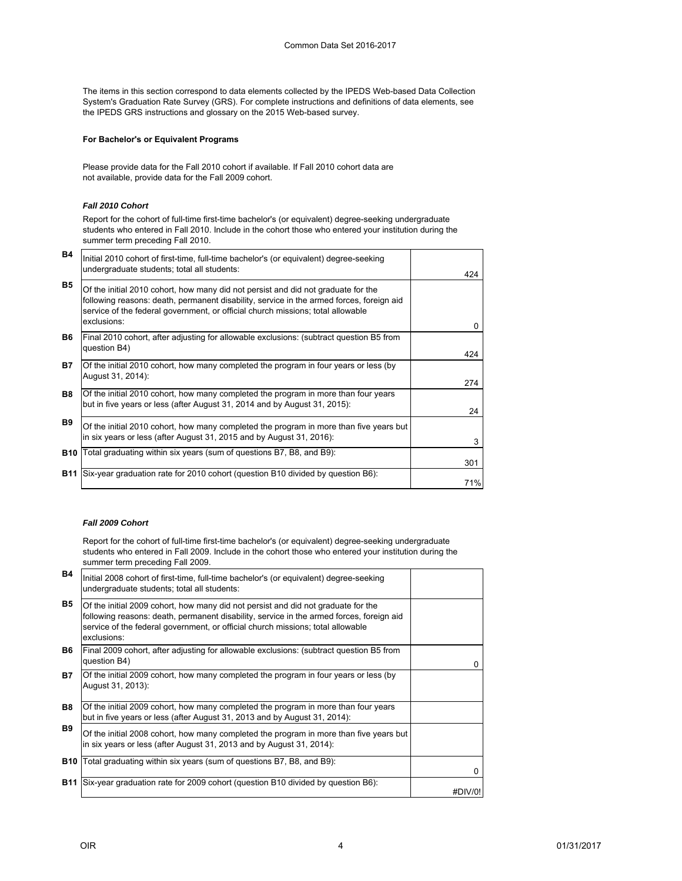The items in this section correspond to data elements collected by the IPEDS Web-based Data Collection System's Graduation Rate Survey (GRS). For complete instructions and definitions of data elements, see the IPEDS GRS instructions and glossary on the 2015 Web-based survey.

## **For Bachelor's or Equivalent Programs**

Please provide data for the Fall 2010 cohort if available. If Fall 2010 cohort data are not available, provide data for the Fall 2009 cohort.

### *Fall 2010 Cohort*

Report for the cohort of full-time first-time bachelor's (or equivalent) degree-seeking undergraduate students who entered in Fall 2010. Include in the cohort those who entered your institution during the summer term preceding Fall 2010.

| <b>B4</b>  | Initial 2010 cohort of first-time, full-time bachelor's (or equivalent) degree-seeking<br>undergraduate students; total all students:                                                                                                                                           | 424 |
|------------|---------------------------------------------------------------------------------------------------------------------------------------------------------------------------------------------------------------------------------------------------------------------------------|-----|
| <b>B5</b>  | Of the initial 2010 cohort, how many did not persist and did not graduate for the<br>following reasons: death, permanent disability, service in the armed forces, foreign aid<br>service of the federal government, or official church missions; total allowable<br>exclusions: | 0   |
| <b>B6</b>  | Final 2010 cohort, after adjusting for allowable exclusions: (subtract question B5 from<br>question B4)                                                                                                                                                                         | 424 |
| <b>B7</b>  | Of the initial 2010 cohort, how many completed the program in four years or less (by<br>August 31, 2014):                                                                                                                                                                       | 274 |
| <b>B8</b>  | Of the initial 2010 cohort, how many completed the program in more than four years<br>but in five years or less (after August 31, 2014 and by August 31, 2015):                                                                                                                 | 24  |
| <b>B9</b>  | Of the initial 2010 cohort, how many completed the program in more than five years but<br>in six years or less (after August 31, 2015 and by August 31, 2016):                                                                                                                  | 3   |
|            | <b>B10</b> Total graduating within six years (sum of questions B7, B8, and B9):                                                                                                                                                                                                 | 301 |
| <b>B11</b> | Six-year graduation rate for 2010 cohort (question B10 divided by question B6):                                                                                                                                                                                                 | 71% |

## *Fall 2009 Cohort*

Report for the cohort of full-time first-time bachelor's (or equivalent) degree-seeking undergraduate students who entered in Fall 2009. Include in the cohort those who entered your institution during the summer term preceding Fall 2009.

| <b>B4</b>  | Initial 2008 cohort of first-time, full-time bachelor's (or equivalent) degree-seeking<br>undergraduate students; total all students:                                                                                                                                           |         |
|------------|---------------------------------------------------------------------------------------------------------------------------------------------------------------------------------------------------------------------------------------------------------------------------------|---------|
| <b>B5</b>  | Of the initial 2009 cohort, how many did not persist and did not graduate for the<br>following reasons: death, permanent disability, service in the armed forces, foreign aid<br>service of the federal government, or official church missions; total allowable<br>exclusions: |         |
| <b>B6</b>  | Final 2009 cohort, after adjusting for allowable exclusions: (subtract question B5 from<br>question B4)                                                                                                                                                                         | 0       |
| <b>B7</b>  | Of the initial 2009 cohort, how many completed the program in four years or less (by<br>August 31, 2013):                                                                                                                                                                       |         |
| <b>B8</b>  | Of the initial 2009 cohort, how many completed the program in more than four years<br>but in five years or less (after August 31, 2013 and by August 31, 2014):                                                                                                                 |         |
| <b>B</b> 9 | Of the initial 2008 cohort, how many completed the program in more than five years but<br>in six years or less (after August 31, 2013 and by August 31, 2014):                                                                                                                  |         |
| <b>B10</b> | Total graduating within six years (sum of questions B7, B8, and B9):                                                                                                                                                                                                            | 0       |
| <b>B11</b> | Six-year graduation rate for 2009 cohort (question B10 divided by question B6):                                                                                                                                                                                                 | #DIV/0! |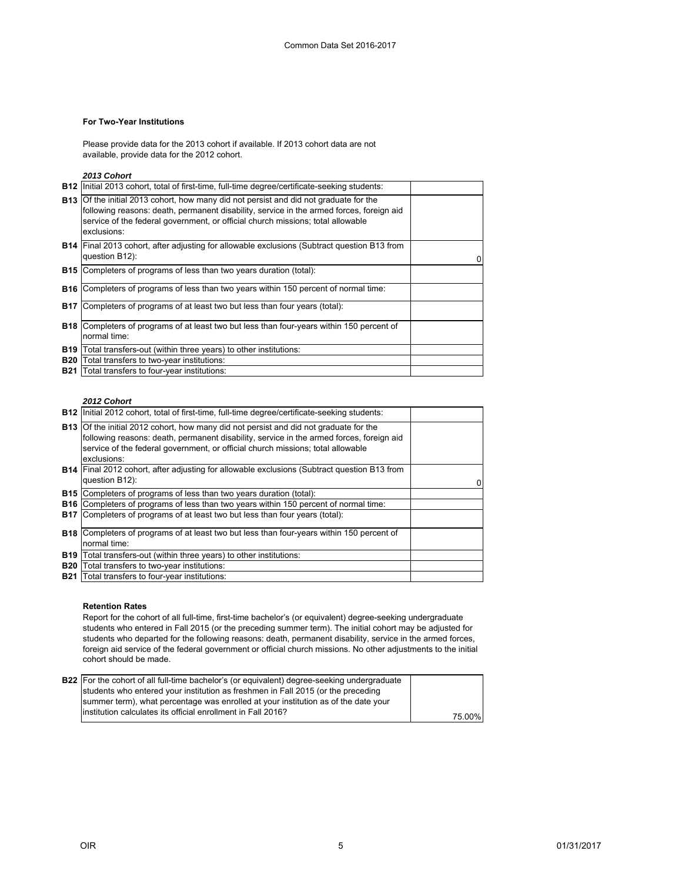## **For Two-Year Institutions**

Please provide data for the 2013 cohort if available. If 2013 cohort data are not available, provide data for the 2012 cohort.

*2013 Cohort*

|            | <b>B12</b> Initial 2013 cohort, total of first-time, full-time degree/certificate-seeking students:                                                                                                                                                                                        |  |
|------------|--------------------------------------------------------------------------------------------------------------------------------------------------------------------------------------------------------------------------------------------------------------------------------------------|--|
|            | <b>B13</b> Of the initial 2013 cohort, how many did not persist and did not graduate for the<br>following reasons: death, permanent disability, service in the armed forces, foreign aid<br>service of the federal government, or official church missions; total allowable<br>exclusions: |  |
|            | <b>B14</b> Final 2013 cohort, after adjusting for allowable exclusions (Subtract question B13 from<br>question B12):                                                                                                                                                                       |  |
|            | <b>B15</b> Completers of programs of less than two years duration (total):                                                                                                                                                                                                                 |  |
|            | <b>B16</b> Completers of programs of less than two years within 150 percent of normal time:                                                                                                                                                                                                |  |
| <b>B17</b> | Completers of programs of at least two but less than four years (total):                                                                                                                                                                                                                   |  |
|            | <b>B18</b> Completers of programs of at least two but less than four-years within 150 percent of<br>normal time:                                                                                                                                                                           |  |
|            | <b>B19</b> Total transfers-out (within three years) to other institutions:                                                                                                                                                                                                                 |  |
|            | <b>B20</b> Total transfers to two-year institutions:                                                                                                                                                                                                                                       |  |
|            | <b>B21</b> Total transfers to four-year institutions:                                                                                                                                                                                                                                      |  |

## *2012 Cohort*

|            | B12  Initial 2012 cohort, total of first-time, full-time degree/certificate-seeking students:                                                                                            |  |
|------------|------------------------------------------------------------------------------------------------------------------------------------------------------------------------------------------|--|
|            | <b>B13</b> Of the initial 2012 cohort, how many did not persist and did not graduate for the<br>following reasons: death, permanent disability, service in the armed forces, foreign aid |  |
|            | service of the federal government, or official church missions; total allowable<br>exclusions:                                                                                           |  |
|            | <b>B14</b> Final 2012 cohort, after adjusting for allowable exclusions (Subtract question B13 from<br>question B12):                                                                     |  |
|            | <b>B15</b> Completers of programs of less than two years duration (total):                                                                                                               |  |
|            | <b>B16</b> Completers of programs of less than two years within 150 percent of normal time:                                                                                              |  |
|            | <b>B17</b> Completers of programs of at least two but less than four years (total):                                                                                                      |  |
|            | <b>B18</b> Completers of programs of at least two but less than four-years within 150 percent of                                                                                         |  |
|            | normal time:                                                                                                                                                                             |  |
|            | <b>B19</b> Total transfers-out (within three years) to other institutions:                                                                                                               |  |
| <b>B20</b> | Total transfers to two-year institutions:                                                                                                                                                |  |
|            | <b>B21</b> Total transfers to four-year institutions:                                                                                                                                    |  |

## **Retention Rates**

Report for the cohort of all full-time, first-time bachelor's (or equivalent) degree-seeking undergraduate students who entered in Fall 2015 (or the preceding summer term). The initial cohort may be adjusted for students who departed for the following reasons: death, permanent disability, service in the armed forces, foreign aid service of the federal government or official church missions. No other adjustments to the initial cohort should be made.

| <b>B22</b> For the cohort of all full-time bachelor's (or equivalent) degree-seeking undergraduate<br>students who entered your institution as freshmen in Fall 2015 (or the preceding |         |
|----------------------------------------------------------------------------------------------------------------------------------------------------------------------------------------|---------|
| summer term), what percentage was enrolled at your institution as of the date your                                                                                                     |         |
| linstitution calculates its official enrollment in Fall 2016?                                                                                                                          | 75.00%। |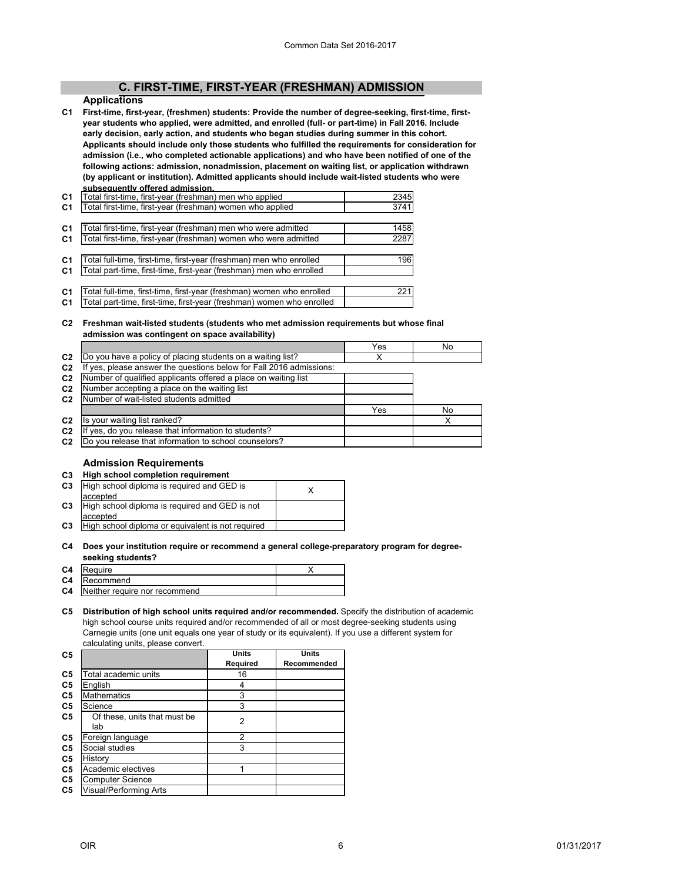# **[C. FIRST-TIME, FIRST-YEAR \(FRESHMAN\) ADMISSION](#page-0-0)**

## **Applications**

<span id="page-6-0"></span>**C1 First-time, first-year, (freshmen) students: Provide the number of degree-seeking, first-time, firstyear students who applied, were admitted, and enrolled (full- or part-time) in Fall 2016. Include early decision, early action, and students who began studies during summer in this cohort. Applicants should include only those students who fulfilled the requirements for consideration for admission (i.e., who completed actionable applications) and who have been notified of one of the following actions: admission, nonadmission, placement on waiting list, or application withdrawn (by applicant or institution). Admitted applicants should include wait-listed students who were subsequently offered admission.**

| C <sub>1</sub> | Total first-time, first-year (freshman) men who applied               | 2345 |
|----------------|-----------------------------------------------------------------------|------|
| C <sub>1</sub> | Total first-time, first-year (freshman) women who applied             | 3741 |
|                |                                                                       |      |
| C <sub>1</sub> | Total first-time, first-year (freshman) men who were admitted         | 1458 |
| C <sub>1</sub> | Total first-time, first-year (freshman) women who were admitted       | 2287 |
|                |                                                                       |      |
| C <sub>1</sub> | Total full-time, first-time, first-year (freshman) men who enrolled   | 196  |
| C <sub>1</sub> | Total part-time, first-time, first-year (freshman) men who enrolled   |      |
|                |                                                                       |      |
| C <sub>1</sub> | Total full-time, first-time, first-year (freshman) women who enrolled | 221  |
| C <sub>1</sub> | Total part-time, first-time, first-year (freshman) women who enrolled |      |

#### **C2 Freshman wait-listed students (students who met admission requirements but whose final admission was contingent on space availability)**

|                |                                                                     | Yes | No |
|----------------|---------------------------------------------------------------------|-----|----|
| C <sub>2</sub> | Do you have a policy of placing students on a waiting list?         |     |    |
| C <sub>2</sub> | If yes, please answer the questions below for Fall 2016 admissions: |     |    |
| C <sub>2</sub> | Number of qualified applicants offered a place on waiting list      |     |    |
| C <sub>2</sub> | Number accepting a place on the waiting list                        |     |    |
| C <sub>2</sub> | Number of wait-listed students admitted                             |     |    |
|                |                                                                     | Yes | No |
| C <sub>2</sub> | Is your waiting list ranked?                                        |     | x  |
| C <sub>2</sub> | If yes, do you release that information to students?                |     |    |
| C <sub>2</sub> | Do you release that information to school counselors?               |     |    |
|                |                                                                     |     |    |

## **Admission Requirements**

| C3             | High school completion requirement                         |  |
|----------------|------------------------------------------------------------|--|
| C3             | High school diploma is required and GED is<br>accepted     |  |
| C3             | High school diploma is required and GED is not<br>accepted |  |
| C <sub>3</sub> | High school diploma or equivalent is not required          |  |
|                |                                                            |  |

#### **C4 Does your institution require or recommend a general college-preparatory program for degreeseeking students?**

| C4 | Require                                 |  |
|----|-----------------------------------------|--|
|    | C4 Recommend                            |  |
|    | <b>C4</b> Neither require nor recommend |  |

### **C5 Distribution of high school units required and/or recommended.** Specify the distribution of academic high school course units required and/or recommended of all or most degree-seeking students using Carnegie units (one unit equals one year of study or its equivalent). If you use a different system for calculating units, please convert.

|                              | Units          | Units          |
|------------------------------|----------------|----------------|
|                              | Required       | Recommended    |
| Total academic units         | 16             |                |
| English                      | 4              |                |
| <b>Mathematics</b>           | 3              |                |
| Science                      | 3              |                |
| Of these, units that must be |                |                |
| lab                          |                |                |
| Foreign language             | $\overline{2}$ |                |
| Social studies               | 3              |                |
| History                      |                |                |
| Academic electives           |                |                |
| <b>Computer Science</b>      |                |                |
| Visual/Performing Arts       |                |                |
|                              |                | $\overline{2}$ |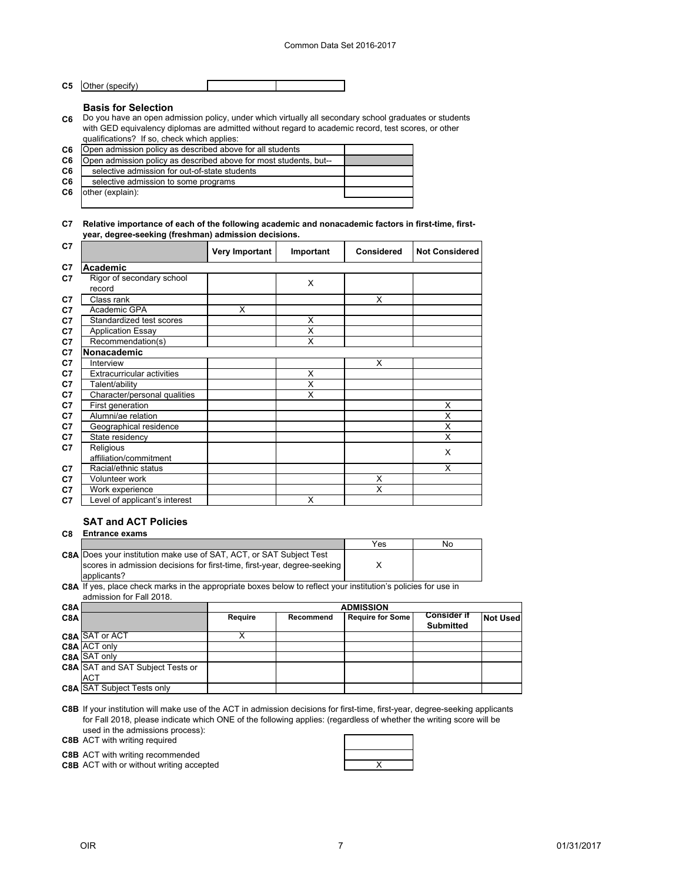**C5** Other (specify)

#### **Basis for Selection**

**C6** Do you have an open admission policy, under which virtually all secondary school graduates or students with GED equivalency diplomas are admitted without regard to academic record, test scores, or other qualifications? If so, check which applies:

| C <sub>6</sub> | Open admission policy as described above for all students         |  |
|----------------|-------------------------------------------------------------------|--|
| C <sub>6</sub> | Open admission policy as described above for most students, but-- |  |
| C6             | selective admission for out-of-state students                     |  |
| C6             | selective admission to some programs                              |  |
| C6             | other (explain):                                                  |  |
|                |                                                                   |  |

## **C7 Relative importance of each of the following academic and nonacademic factors in first-time, firstyear, degree-seeking (freshman) admission decisions.**

| C7 |                                     | Very Important | Important | Considered | <b>Not Considered</b> |
|----|-------------------------------------|----------------|-----------|------------|-----------------------|
| C7 | Academic                            |                |           |            |                       |
| C7 | Rigor of secondary school<br>record |                | $\times$  |            |                       |
| C7 | Class rank                          |                |           | X          |                       |
| C7 | Academic GPA                        | X              |           |            |                       |
| C7 | Standardized test scores            |                | X         |            |                       |
| C7 | <b>Application Essay</b>            |                | X         |            |                       |
| C7 | Recommendation(s)                   |                | X         |            |                       |
| C7 | Nonacademic                         |                |           |            |                       |
| C7 | Interview                           |                |           | X          |                       |
| C7 | <b>Extracurricular activities</b>   |                | X         |            |                       |
| C7 | Talent/ability                      |                | X         |            |                       |
| C7 | Character/personal qualities        |                | X         |            |                       |
| C7 | First generation                    |                |           |            | X                     |
| C7 | Alumni/ae relation                  |                |           |            | X                     |
| C7 | Geographical residence              |                |           |            | X                     |
| C7 | State residency                     |                |           |            | X                     |
| C7 | Religious                           |                |           |            | X                     |
|    | affiliation/commitment              |                |           |            |                       |
| C7 | Racial/ethnic status                |                |           |            | X                     |
| C7 | Volunteer work                      |                |           | X          |                       |
| C7 | Work experience                     |                |           | X          |                       |
| C7 | Level of applicant's interest       |                | X         |            |                       |

# **SAT and ACT Policies**

## **C8 Entrance exams**

|                                                                            | Yes | No |
|----------------------------------------------------------------------------|-----|----|
| <b>C8A Does your institution make use of SAT, ACT, or SAT Subject Test</b> |     |    |
| scores in admission decisions for first-time, first-year, degree-seeking   |     |    |
| applicants?                                                                |     |    |

**C8A** If yes, place check marks in the appropriate boxes below to reflect your institution's policies for use in admission for Fall 2018.

| C <sub>8</sub> A |                                         | <b>ADMISSION</b> |           |                  |                                        |                 |  |
|------------------|-----------------------------------------|------------------|-----------|------------------|----------------------------------------|-----------------|--|
| C <sub>8</sub> A |                                         | Require          | Recommend | Require for Some | <b>Consider if</b><br><b>Submitted</b> | <b>Not Used</b> |  |
|                  | C8A SAT or ACT                          |                  |           |                  |                                        |                 |  |
|                  | C8A ACT only                            |                  |           |                  |                                        |                 |  |
|                  | C8A SAT only                            |                  |           |                  |                                        |                 |  |
|                  | <b>C8A</b> SAT and SAT Subject Tests or |                  |           |                  |                                        |                 |  |
|                  | <b>ACT</b>                              |                  |           |                  |                                        |                 |  |
|                  | <b>C8A SAT Subject Tests only</b>       |                  |           |                  |                                        |                 |  |

**C8B** If your institution will make use of the ACT in admission decisions for first-time, first-year, degree-seeking applicants for Fall 2018, please indicate which ONE of the following applies: (regardless of whether the writing score will be used in the admissions process):

**C8B** ACT with writing required

**C8B** ACT with writing recommended

**C8B** ACT with or without writing accepted **ACT ACT ACT ACCES ACT ACCES ACCES ACCES ACCES ACCES ACCES ACCES**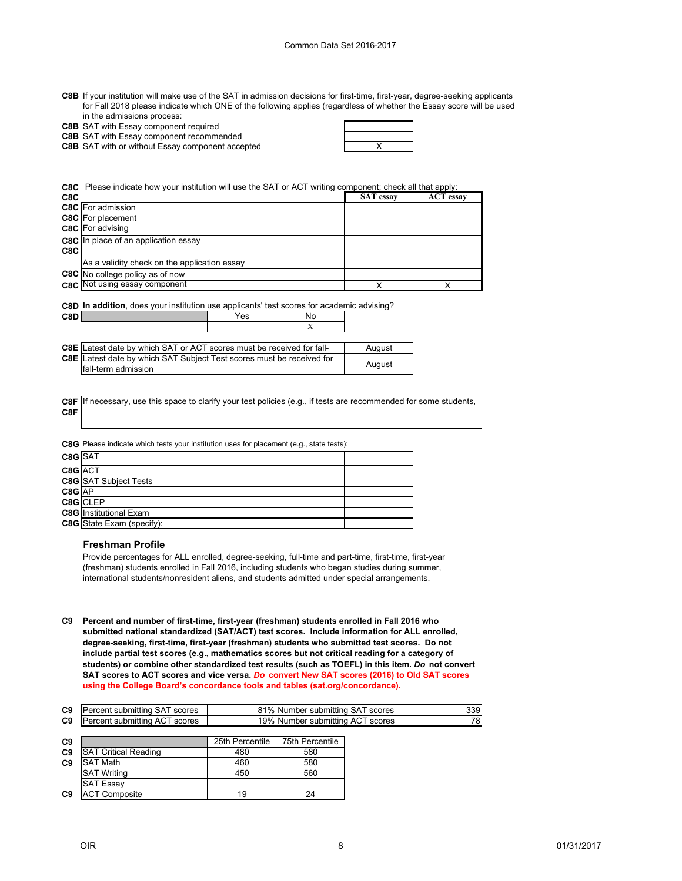| C8B If your institution will make use of the SAT in admission decisions for first-time, first-year, degree-seeking applicants |
|-------------------------------------------------------------------------------------------------------------------------------|
| for Fall 2018 please indicate which ONE of the following applies (regardless of whether the Essay score will be used          |
| in the admissions process:                                                                                                    |

**C8B** SAT with Essay component required

**C8B** SAT with Essay component recommended

**C8B** SAT with or without Essay component accepted  $\vert$  X

|     | C8C Please indicate how your institution will use the SAT or ACT writing component; check all that apply: |                  |                  |  |  |  |
|-----|-----------------------------------------------------------------------------------------------------------|------------------|------------------|--|--|--|
| C8C |                                                                                                           | <b>SAT</b> essay | <b>ACT</b> essay |  |  |  |
|     | C8C For admission                                                                                         |                  |                  |  |  |  |
|     | C8C For placement                                                                                         |                  |                  |  |  |  |
|     | C8C For advising                                                                                          |                  |                  |  |  |  |
|     | C8C In place of an application essay                                                                      |                  |                  |  |  |  |
| C8C |                                                                                                           |                  |                  |  |  |  |
|     | As a validity check on the application essay                                                              |                  |                  |  |  |  |
|     | C8C No college policy as of now                                                                           |                  |                  |  |  |  |
|     | C8C Not using essay component                                                                             |                  |                  |  |  |  |
|     |                                                                                                           |                  |                  |  |  |  |

**C8D In addition**, does your institution use applicants' test scores for academic advising?

**C8D** Yes No

| <b>C8E</b> Latest date by which SAT or ACT scores must be received for fall-                        |  | August |
|-----------------------------------------------------------------------------------------------------|--|--------|
| <b>C8E</b> Latest date by which SAT Subject Test scores must be received for<br>fall-term admission |  | August |

|     | C8F If necessary, use this space to clarify your test policies (e.g., if tests are recommended for some students, |
|-----|-------------------------------------------------------------------------------------------------------------------|
| C8F |                                                                                                                   |

|           | <b>C8G</b> Please indicate which tests your institution uses for placement (e.g., state tests): |  |
|-----------|-------------------------------------------------------------------------------------------------|--|
| $C8G$ SAT |                                                                                                 |  |
| C8G ACT   |                                                                                                 |  |
|           | <b>C8G</b> SAT Subject Tests                                                                    |  |
| C8G AP    |                                                                                                 |  |
|           | C8G CLEP                                                                                        |  |
|           | <b>C8G</b> Institutional Exam                                                                   |  |
|           | <b>C8G</b> State Exam (specify):                                                                |  |
|           |                                                                                                 |  |

## **Freshman Profile**

Provide percentages for ALL enrolled, degree-seeking, full-time and part-time, first-time, first-year (freshman) students enrolled in Fall 2016, including students who began studies during summer, international students/nonresident aliens, and students admitted under special arrangements.

**C9 Percent and number of first-time, first-year (freshman) students enrolled in Fall 2016 who submitted national standardized (SAT/ACT) test scores. Include information for ALL enrolled, degree-seeking, first-time, first-year (freshman) students who submitted test scores. Do not include partial test scores (e.g., mathematics scores but not critical reading for a category of students) or combine other standardized test results (such as TOEFL) in this item.** *Do* **not convert SAT scores to ACT scores and vice versa.** *Do* **convert New SAT scores (2016) to Old SAT scores using the College Board's concordance tools and tables (sat.org/concordance).**

| C <sub>9</sub> | Percent submitting SAT scores | 81% Number submitting SAT scores | 339 I |
|----------------|-------------------------------|----------------------------------|-------|
| C9             | Percent submitting ACT scores | 19% Number submitting ACT scores | 78    |

| C9             |                             | 25th Percentile | 75th Percentile |
|----------------|-----------------------------|-----------------|-----------------|
| C <sub>9</sub> | <b>SAT Critical Reading</b> | 480             | 580             |
| C <sub>9</sub> | <b>SAT Math</b>             | 460             | 580             |
|                | <b>SAT Writing</b>          | 450             | 560             |
|                | <b>ISAT Essay</b>           |                 |                 |
| C9             | <b>ACT Composite</b>        | 19              | 24              |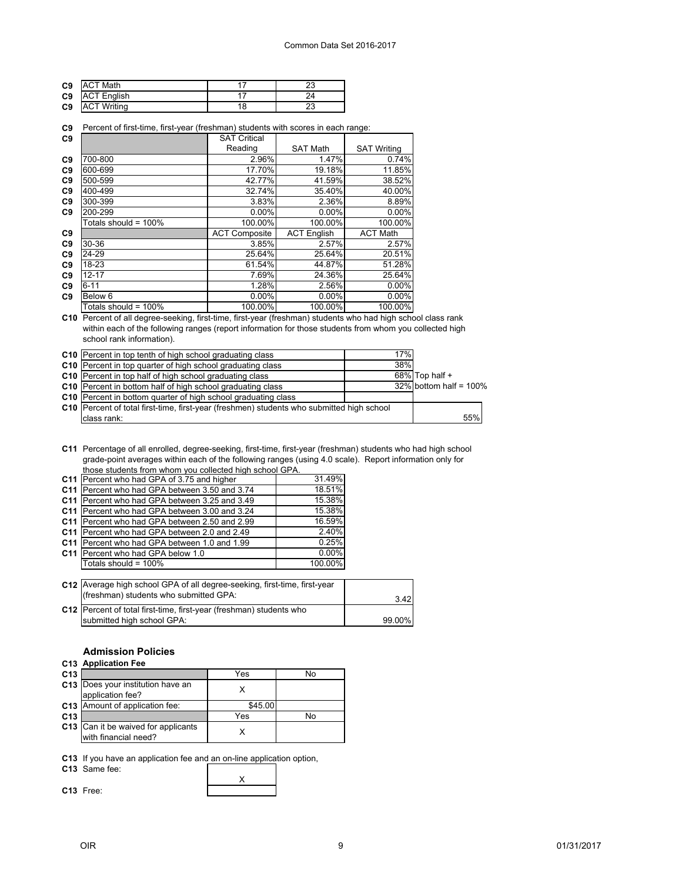| C9 | <b>ACT Math</b>    | دے |
|----|--------------------|----|
|    | C9 ACT English     |    |
| C9 | <b>ACT Writing</b> | دے |

|  |  |  |  |  | C9 Percent of first-time, first-year (freshman) students with scores in each range: |
|--|--|--|--|--|-------------------------------------------------------------------------------------|
|--|--|--|--|--|-------------------------------------------------------------------------------------|

| C9             |                      | <b>SAT Critical</b>  |                    |                    |
|----------------|----------------------|----------------------|--------------------|--------------------|
|                |                      | Reading              | <b>SAT Math</b>    | <b>SAT Writing</b> |
| C <sub>9</sub> | 700-800              | 2.96%                | 1.47%              | 0.74%              |
| C <sub>9</sub> | 600-699              | 17.70%               | 19.18%             | 11.85%             |
| C <sub>9</sub> | 500-599              | 42.77%               | 41.59%             | 38.52%             |
| C <sub>9</sub> | 400-499              | 32.74%               | 35.40%             | 40.00%             |
| C <sub>9</sub> | 300-399              | 3.83%                | 2.36%              | 8.89%              |
| C9             | 200-299              | $0.00\%$             | $0.00\%$           | 0.00%              |
|                | Totals should = 100% | 100.00%              | 100.00%            | 100.00%            |
| C9             |                      | <b>ACT Composite</b> | <b>ACT English</b> | <b>ACT Math</b>    |
| C <sub>9</sub> | 30-36                | 3.85%                | 2.57%              | 2.57%              |
| C <sub>9</sub> | 24-29                | 25.64%               | 25.64%             | 20.51%             |
| C <sub>9</sub> | 18-23                | 61.54%               | 44.87%             | 51.28%             |
| C <sub>9</sub> | $12 - 17$            | 7.69%                | 24.36%             | 25.64%             |
| C <sub>9</sub> | $6 - 11$             | 1.28%                | 2.56%              | $0.00\%$           |
| C <sub>9</sub> | Below <sub>6</sub>   | $0.00\%$             | $0.00\%$           | 0.00%              |
|                | Totals should = 100% | 100.00%              | 100.00%            | 100.00%            |

**C10** Percent of all degree-seeking, first-time, first-year (freshman) students who had high school class rank within each of the following ranges (report information for those students from whom you collected high school rank information).

| <b>C10</b> Percent in top tenth of high school graduating class                             | 17% |                           |     |
|---------------------------------------------------------------------------------------------|-----|---------------------------|-----|
| <b>C10</b> Percent in top quarter of high school graduating class                           | 38% |                           |     |
| C <sub>10</sub> Percent in top half of high school graduating class                         |     | $68\%$ Top half +         |     |
| C10 Percent in bottom half of high school graduating class                                  |     | $32\%$ bottom half = 100% |     |
| <b>C10</b> Percent in bottom quarter of high school graduating class                        |     |                           |     |
| C10   Percent of total first-time, first-year (freshmen) students who submitted high school |     |                           |     |
| class rank:                                                                                 |     |                           | 55% |

**C11** Percentage of all enrolled, degree-seeking, first-time, first-year (freshman) students who had high school grade-point averages within each of the following ranges (using 4.0 scale). Report information only for those students from whom you collected high school GPA.

| C11 Percent who had GPA of 3.75 and higher           | 31.49%   |
|------------------------------------------------------|----------|
| C11 Percent who had GPA between 3.50 and 3.74        | 18.51%   |
| C11 Percent who had GPA between 3.25 and 3.49        | 15.38%   |
| <b>C11</b> Percent who had GPA between 3.00 and 3.24 | 15.38%   |
| C11 Percent who had GPA between 2.50 and 2.99        | 16.59%   |
| C11 Percent who had GPA between 2.0 and 2.49         | 2.40%    |
| C11 Percent who had GPA between 1.0 and 1.99         | 0.25%    |
| C11 Percent who had GPA below 1.0                    | $0.00\%$ |
| Totals should = 100%                                 | 100.00%  |

| C12 Average high school GPA of all degree-seeking, first-time, first-year<br>(freshman) students who submitted GPA: | 3.42   |
|---------------------------------------------------------------------------------------------------------------------|--------|
| C12   Percent of total first-time, first-year (freshman) students who                                               |        |
| submitted high school GPA:                                                                                          | 99.00% |

X

## **Admission Policies**

## **C13 Application Fee**

| C <sub>13</sub> |                                                             | Yes     | No |
|-----------------|-------------------------------------------------------------|---------|----|
|                 | C13 Does your institution have an<br>application fee?       |         |    |
|                 | C13 Amount of application fee:                              | \$45.00 |    |
| C <sub>13</sub> |                                                             | Yes     | N٥ |
|                 | C13 Can it be waived for applicants<br>with financial need? |         |    |

**C13** If you have an application fee and an on-line application option,

| C13 Same fee: |  |
|---------------|--|
|               |  |

**C13** Free: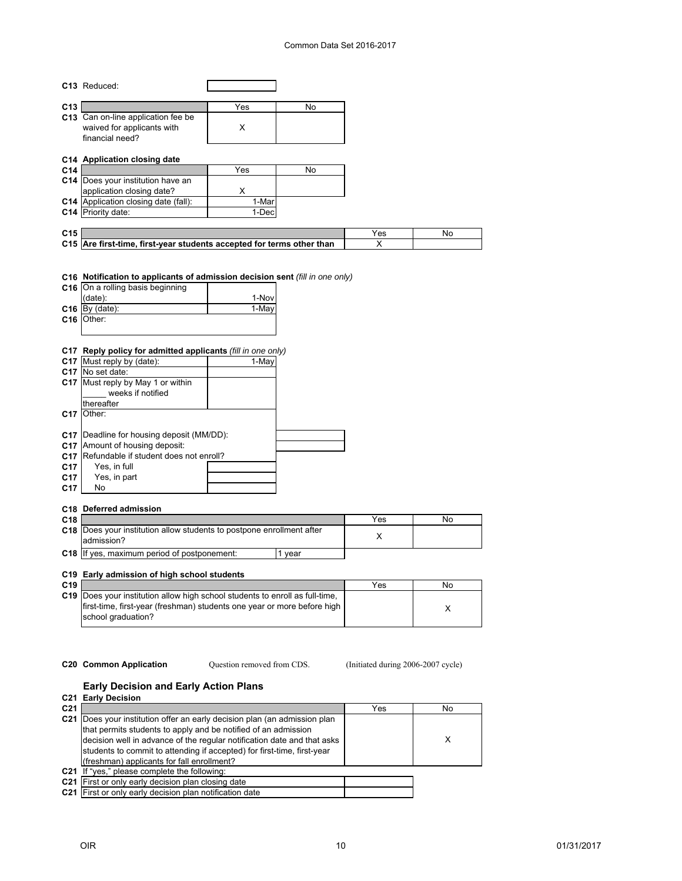## Common Data Set 2016-2017

|                 | C13 Reduced:                                                                 |       |        |     |    |
|-----------------|------------------------------------------------------------------------------|-------|--------|-----|----|
|                 |                                                                              |       |        |     |    |
| C13             |                                                                              | Yes   | No     |     |    |
|                 | C13 Can on-line application fee be                                           |       |        |     |    |
|                 | waived for applicants with                                                   | X     |        |     |    |
|                 | financial need?                                                              |       |        |     |    |
|                 | C14 Application closing date                                                 |       |        |     |    |
| C14             |                                                                              | Yes   | No     |     |    |
|                 | C14 Does your institution have an                                            |       |        |     |    |
|                 | application closing date?                                                    | X     |        |     |    |
|                 | C14 Application closing date (fall):                                         | 1-Mar |        |     |    |
|                 | C14 Priority date:                                                           | 1-Dec |        |     |    |
|                 |                                                                              |       |        |     |    |
| C15             |                                                                              |       |        | Yes | No |
|                 | C15 Are first-time, first-year students accepted for terms other than        |       |        | X   |    |
|                 |                                                                              |       |        |     |    |
|                 |                                                                              |       |        |     |    |
|                 | C16 Notification to applicants of admission decision sent (fill in one only) |       |        |     |    |
|                 | C16 On a rolling basis beginning                                             |       |        |     |    |
|                 | (date):                                                                      | 1-Nov |        |     |    |
|                 | $C16$ By (date):                                                             | 1-May |        |     |    |
|                 | C <sub>16</sub> Other:                                                       |       |        |     |    |
|                 |                                                                              |       |        |     |    |
|                 |                                                                              |       |        |     |    |
|                 | C17 Reply policy for admitted applicants (fill in one only)                  |       |        |     |    |
|                 | C17 Must reply by (date):                                                    | 1-May |        |     |    |
|                 | C17 No set date:                                                             |       |        |     |    |
|                 | C17 Must reply by May 1 or within                                            |       |        |     |    |
|                 | weeks if notified                                                            |       |        |     |    |
|                 | thereafter<br>Other:                                                         |       |        |     |    |
| C <sub>17</sub> |                                                                              |       |        |     |    |
|                 | C17 Deadline for housing deposit (MM/DD):                                    |       |        |     |    |
|                 | C17 Amount of housing deposit:                                               |       |        |     |    |
|                 | C17 Refundable if student does not enroll?                                   |       |        |     |    |
| C17             | Yes, in full                                                                 |       |        |     |    |
| C <sub>17</sub> | Yes, in part                                                                 |       |        |     |    |
| C17             | No                                                                           |       |        |     |    |
|                 |                                                                              |       |        |     |    |
|                 | C18 Deferred admission                                                       |       |        |     |    |
| C18             |                                                                              |       |        | Yes | No |
| C18             | Does your institution allow students to postpone enrollment after            |       |        |     |    |
|                 | admission?                                                                   |       |        | X   |    |
|                 | C18 If yes, maximum period of postponement:                                  |       | 1 year |     |    |
|                 |                                                                              |       |        |     |    |
|                 | C19 Early admission of high school students                                  |       |        |     |    |

| C <sub>19</sub> |                                                                                     | Yes | Nο |
|-----------------|-------------------------------------------------------------------------------------|-----|----|
|                 | <b>C19</b> Does your institution allow high school students to enroll as full-time, |     |    |
|                 | lfirst-time, first-year (freshman) students one year or more before high            |     |    |
|                 | school graduation?                                                                  |     |    |
|                 |                                                                                     |     |    |

Question removed from CDS.

**C20 Common Application Question removed from CDS.** (Initiated during 2006-2007 cycle)

## **Early Decision and Early Action Plans**

|                 | <b>C21 Early Decision</b>                                                                                                                                                                                                                                                                                                                   |     |    |
|-----------------|---------------------------------------------------------------------------------------------------------------------------------------------------------------------------------------------------------------------------------------------------------------------------------------------------------------------------------------------|-----|----|
| C <sub>21</sub> |                                                                                                                                                                                                                                                                                                                                             | Yes | No |
| C <sub>21</sub> | Does your institution offer an early decision plan (an admission plan<br>that permits students to apply and be notified of an admission<br>decision well in advance of the regular notification date and that asks<br>students to commit to attending if accepted) for first-time, first-year<br>(freshman) applicants for fall enrollment? |     | х  |
|                 | C21 If "yes," please complete the following:                                                                                                                                                                                                                                                                                                |     |    |
|                 | C21 First or only early decision plan closing date                                                                                                                                                                                                                                                                                          |     |    |
|                 | C21 First or only early decision plan notification date                                                                                                                                                                                                                                                                                     |     |    |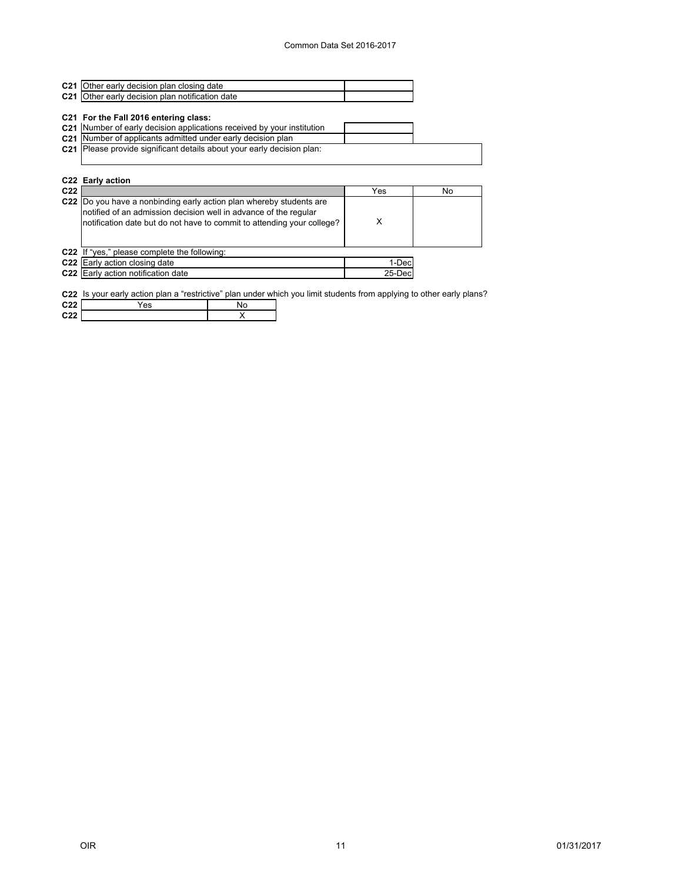| <b>C21</b> Other early decision plan closing date           |  |
|-------------------------------------------------------------|--|
| C <sub>21</sub> Other early decision plan notification date |  |

#### **C21 For the Fall 2016 entering class:**

| C21 Number of early decision applications received by your institution |  |
|------------------------------------------------------------------------|--|
| C21 Number of applicants admitted under early decision plan            |  |
|                                                                        |  |

**C21** Please provide significant details about your early decision plan:

## **C22 Early action**

| C22 |                                                                                                                                                                                                                    | Yes     | No |
|-----|--------------------------------------------------------------------------------------------------------------------------------------------------------------------------------------------------------------------|---------|----|
|     | C22  Do you have a nonbinding early action plan whereby students are<br>notified of an admission decision well in advance of the regular<br>notification date but do not have to commit to attending your college? |         |    |
|     | C22 If "yes," please complete the following:                                                                                                                                                                       |         |    |
|     | C22 Early action closing date                                                                                                                                                                                      | 1-Dec   |    |
|     | C22 Early action notification date                                                                                                                                                                                 | 25-Decl |    |

**C22** Is your early action plan a "restrictive" plan under which you limit students from applying to other early plans?

| $ -$        |  |  |
|-------------|--|--|
| $\sim$<br>r |  |  |
|             |  |  |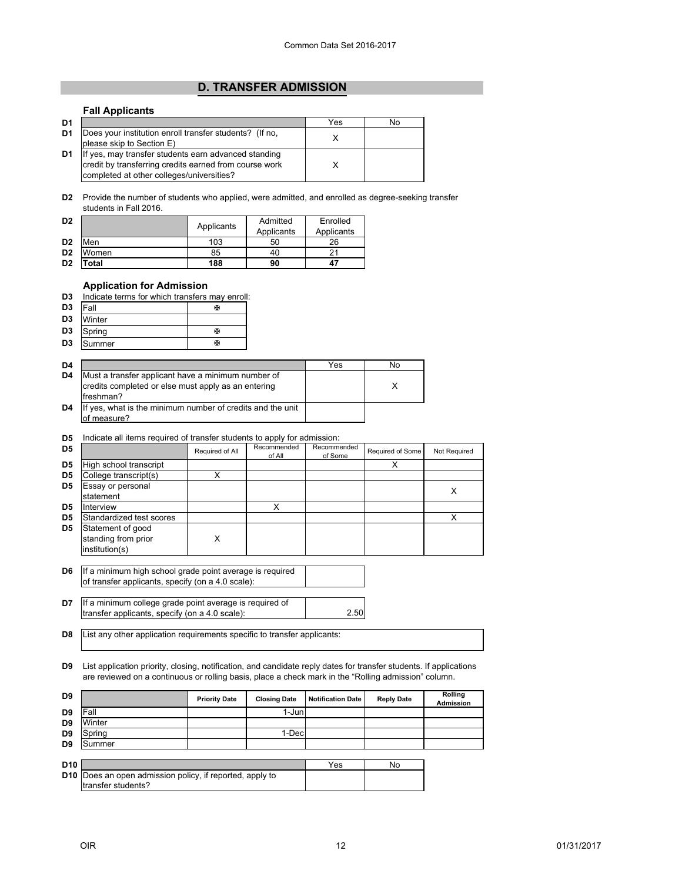# **[D. TRANSFER ADMISSION](#page--1-0)**

## <span id="page-12-0"></span>**Fall Applicants**

| D <sub>1</sub> |                                                                                                                                                                                          | Yes | No |
|----------------|------------------------------------------------------------------------------------------------------------------------------------------------------------------------------------------|-----|----|
| D <sub>1</sub> | Does your institution enroll transfer students? (If no,                                                                                                                                  |     |    |
| D <sub>1</sub> | please skip to Section E)<br>If yes, may transfer students earn advanced standing<br>credit by transferring credits earned from course work<br>completed at other colleges/universities? |     |    |

**D2** Provide the number of students who applied, were admitted, and enrolled as degree-seeking transfer students in Fall 2016.

| D <sub>2</sub> |       | Applicants | Admitted   | Enrolled   |
|----------------|-------|------------|------------|------------|
|                |       |            | Applicants | Applicants |
| D <sub>2</sub> | Men   | 103        | 50         | 26         |
| D <sub>2</sub> | Women | 85         | 40         |            |
| D <sub>2</sub> | 'otal | 188        | 90         | 47         |

## **Application for Admission**

| D3 |  |  |  |  | Indicate terms for which transfers may enroll: |  |  |
|----|--|--|--|--|------------------------------------------------|--|--|
|----|--|--|--|--|------------------------------------------------|--|--|

| D <sub>3</sub> | <b>IFall</b> | ж |
|----------------|--------------|---|
| D <sub>3</sub> | Winter       |   |
| D <sub>3</sub> | Spring       | ж |
| D <sub>3</sub> | Summer       | ж |

| D <sub>4</sub> |                                                                                                                         | Yes | No |
|----------------|-------------------------------------------------------------------------------------------------------------------------|-----|----|
| D <sub>4</sub> | Must a transfer applicant have a minimum number of<br>credits completed or else must apply as an entering<br>lfreshman? |     |    |
| D <sub>4</sub> | If yes, what is the minimum number of credits and the unit<br>of measure?                                               |     |    |

#### **D5** Indicate all items required of transfer students to apply for admission:

| D5             |                          | Required of All | Recommended<br>of All | Recommended<br>of Some | Required of Some | Not Required |
|----------------|--------------------------|-----------------|-----------------------|------------------------|------------------|--------------|
| D <sub>5</sub> | High school transcript   |                 |                       |                        |                  |              |
| D <sub>5</sub> | College transcript(s)    |                 |                       |                        |                  |              |
| D <sub>5</sub> | Essay or personal        |                 |                       |                        |                  | X            |
|                | statement                |                 |                       |                        |                  |              |
| D <sub>5</sub> | Interview                |                 | x                     |                        |                  |              |
| D <sub>5</sub> | Standardized test scores |                 |                       |                        |                  |              |
| D <sub>5</sub> | Statement of good        |                 |                       |                        |                  |              |
|                | standing from prior      | x               |                       |                        |                  |              |
|                | institution(s)           |                 |                       |                        |                  |              |

- **D6** If a minimum high school grade point average is required of transfer applicants, specify (on a 4.0 scale):
- **D7** 2.50 If a minimum college grade point average is required of transfer applicants, specify (on a 4.0 scale):
- **D8** List any other application requirements specific to transfer applicants:

**D9** List application priority, closing, notification, and candidate reply dates for transfer students. If applications are reviewed on a continuous or rolling basis, place a check mark in the "Rolling admission" column.

| D9              |                                                                                       | <b>Priority Date</b> | <b>Closing Date</b> | <b>Notification Date</b> | <b>Reply Date</b> | Rolling<br><b>Admission</b> |
|-----------------|---------------------------------------------------------------------------------------|----------------------|---------------------|--------------------------|-------------------|-----------------------------|
| D9              | Fall                                                                                  |                      | 1-Junl              |                          |                   |                             |
| D <sub>9</sub>  | Winter                                                                                |                      |                     |                          |                   |                             |
| D <sub>9</sub>  | Spring                                                                                |                      | 1-Dec               |                          |                   |                             |
| D <sub>9</sub>  | Summer                                                                                |                      |                     |                          |                   |                             |
|                 |                                                                                       |                      |                     |                          |                   |                             |
| D <sub>10</sub> |                                                                                       |                      |                     | Yes                      | No                |                             |
|                 | <b>D10</b> Does an open admission policy, if reported, apply to<br>transfer students? |                      |                     |                          |                   |                             |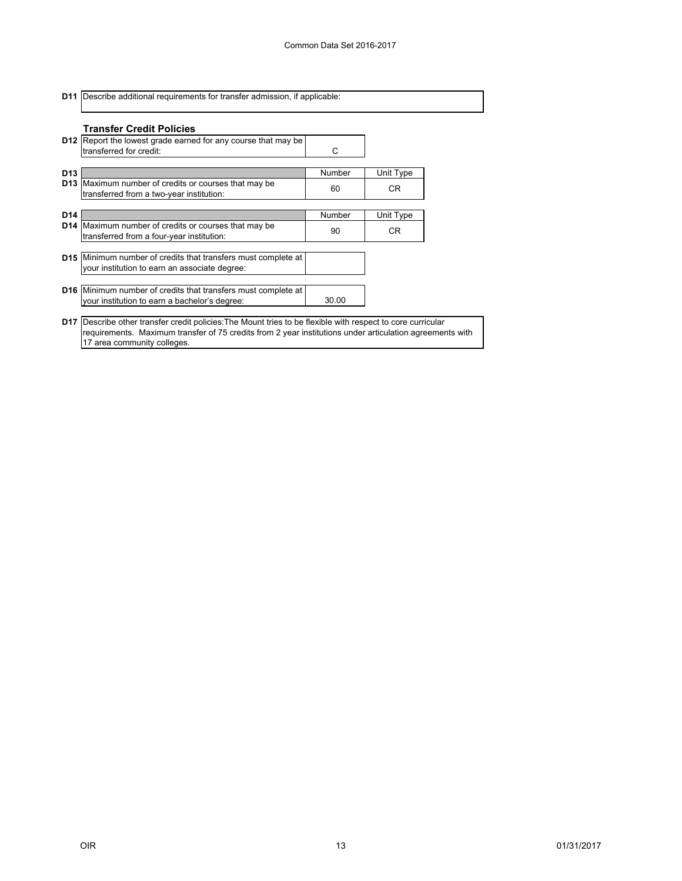**D11** Describe additional requirements for transfer admission, if applicable:

17 area community colleges.

|                 | <b>Transfer Credit Policies</b><br><b>D12</b> Report the lowest grade earned for any course that may be<br>transferred for credit: | C      |           |  |
|-----------------|------------------------------------------------------------------------------------------------------------------------------------|--------|-----------|--|
| D <sub>13</sub> |                                                                                                                                    | Number | Unit Type |  |
|                 | <b>D13</b> Maximum number of credits or courses that may be<br>transferred from a two-year institution:                            | 60     | CR.       |  |
| D <sub>14</sub> |                                                                                                                                    | Number | Unit Type |  |
|                 | D14 Maximum number of credits or courses that may be<br>transferred from a four-year institution:                                  | 90     | CR.       |  |
|                 | <b>D15</b> Minimum number of credits that transfers must complete at<br>your institution to earn an associate degree:              |        |           |  |
|                 | <b>D16</b> Minimum number of credits that transfers must complete at<br>your institution to earn a bachelor's degree:              | 30.00  |           |  |
|                 | <b>D17</b> Describe other transfer credit policies: The Mount tries to be flexible with respect to core curricular                 |        |           |  |

requirements. Maximum transfer of 75 credits from 2 year institutions under articulation agreements with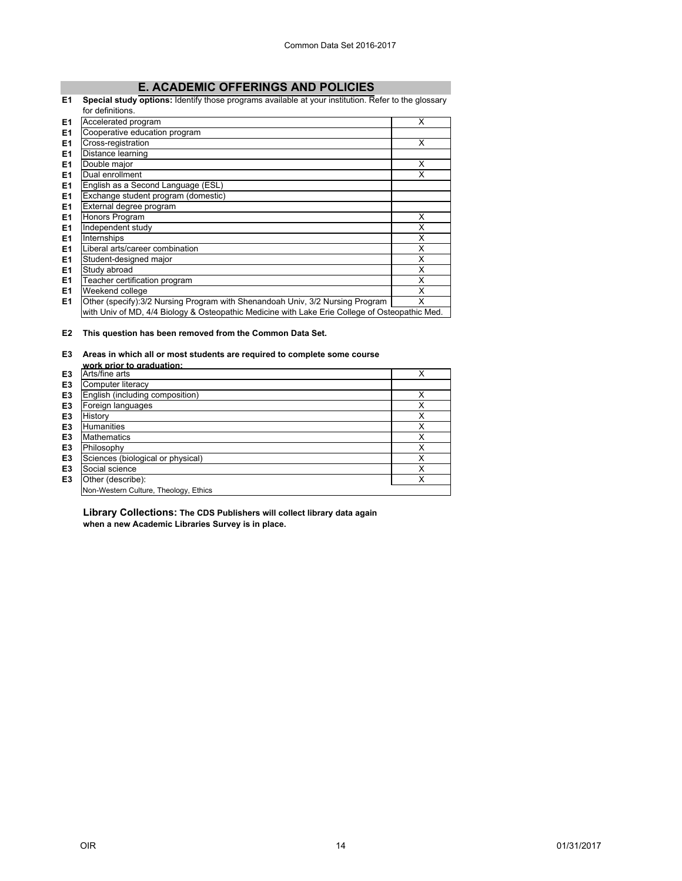# **[E. ACADEMIC OFFERINGS AND POLICIES](#page--1-0)**

#### <span id="page-14-0"></span>**E1 Special study options:** Identify those programs available at your institution. Refer to the glossary

|                | for definitions.                                                                               |   |
|----------------|------------------------------------------------------------------------------------------------|---|
| E <sub>1</sub> | Accelerated program                                                                            | X |
| E <sub>1</sub> | Cooperative education program                                                                  |   |
| E <sub>1</sub> | Cross-registration                                                                             | X |
| E <sub>1</sub> | Distance learning                                                                              |   |
| E <sub>1</sub> | Double major                                                                                   | X |
| E <sub>1</sub> | Dual enrollment                                                                                | X |
| E <sub>1</sub> | English as a Second Language (ESL)                                                             |   |
| E <sub>1</sub> | Exchange student program (domestic)                                                            |   |
| E <sub>1</sub> | External degree program                                                                        |   |
| E1             | Honors Program                                                                                 | X |
| E1             | Independent study                                                                              | X |
| E <sub>1</sub> | Internships                                                                                    | X |
| E <sub>1</sub> | Liberal arts/career combination                                                                | X |
| E <sub>1</sub> | Student-designed major                                                                         | X |
| E <sub>1</sub> | Study abroad                                                                                   | X |
| E <sub>1</sub> | Teacher certification program                                                                  | X |
| E <sub>1</sub> | Weekend college                                                                                | X |
| E <sub>1</sub> | Other (specify): 3/2 Nursing Program with Shenandoah Univ, 3/2 Nursing Program                 | X |
|                | with Univ of MD, 4/4 Biology & Osteopathic Medicine with Lake Erie College of Osteopathic Med. |   |

**E2 This question has been removed from the Common Data Set.**

#### **E3 Areas in which all or most students are required to complete some course work prior to graduation:**

| WUIN DHUI LU UI AUUALIUII.            |   |
|---------------------------------------|---|
| Arts/fine arts                        | ✓ |
| Computer literacy                     |   |
| English (including composition)       | X |
| Foreign languages                     | X |
| History                               | X |
| <b>Humanities</b>                     | x |
| <b>Mathematics</b>                    | x |
| Philosophy                            | x |
| Sciences (biological or physical)     | X |
| Social science                        | X |
| Other (describe):                     | X |
| Non-Western Culture, Theology, Ethics |   |
|                                       |   |

**Library Collections: The CDS Publishers will collect library data again when a new Academic Libraries Survey is in place.**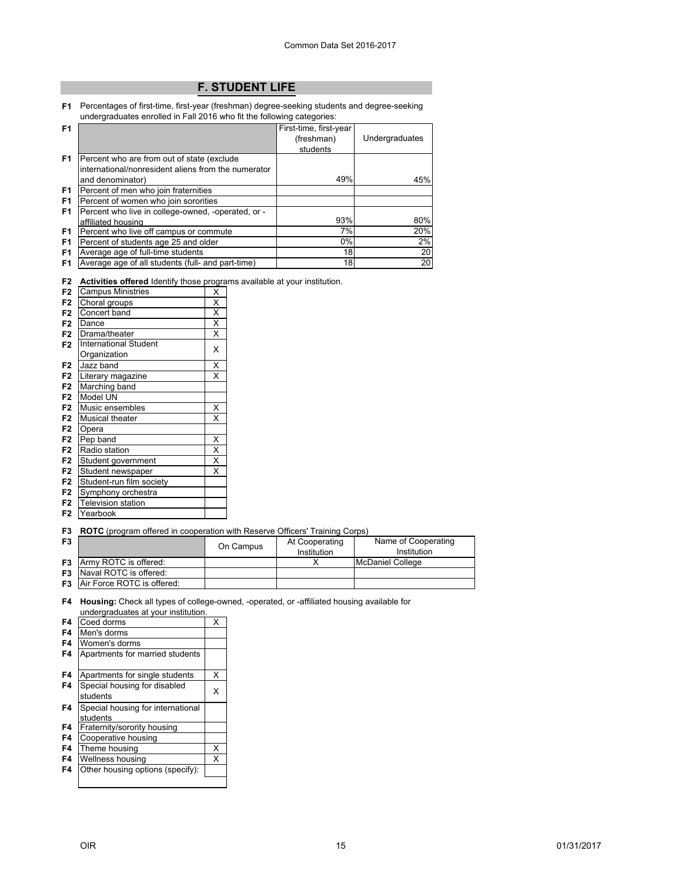# **[F. STUDENT LIFE](#page--1-0)**

<span id="page-15-0"></span>**F1** Percentages of first-time, first-year (freshman) degree-seeking students and degree-seeking undergraduates enrolled in Fall 2016 who fit the following categories:

| F <sub>1</sub> |                                                     | First-time, first-year |                |
|----------------|-----------------------------------------------------|------------------------|----------------|
|                |                                                     | (freshman)             | Undergraduates |
|                |                                                     | students               |                |
| F1             | Percent who are from out of state (exclude          |                        |                |
|                | international/nonresident aliens from the numerator |                        |                |
|                | and denominator)                                    | 49%                    | 45%            |
| F1             | Percent of men who join fraternities                |                        |                |
| F <sub>1</sub> | Percent of women who join sororities                |                        |                |
| F <sub>1</sub> | Percent who live in college-owned, -operated, or -  |                        |                |
|                | affiliated housing                                  | 93%                    | 80%            |
| F <sub>1</sub> | Percent who live off campus or commute              | 7%                     | 20%            |
| F <sub>1</sub> | Percent of students age 25 and older                | $0\%$                  | 2%             |
| F <sub>1</sub> | Average age of full-time students                   | 18                     | <b>20</b>      |
| F1             | Average age of all students (full- and part-time)   | 18                     | <b>20</b>      |

**F2 Activities offered** Identify those programs available at your institution.

| F <sub>2</sub> | <b>Campus Ministries</b>     | X                       |
|----------------|------------------------------|-------------------------|
| F <sub>2</sub> | Choral groups                | $\overline{\mathsf{x}}$ |
| F <sub>2</sub> | Concert band                 | $\overline{\mathsf{x}}$ |
| F <sub>2</sub> | Dance                        | $\overline{\mathsf{x}}$ |
| F <sub>2</sub> | Drama/theater                | X                       |
| F <sub>2</sub> | <b>International Student</b> | X                       |
|                | Organization                 |                         |
| F <sub>2</sub> | Jazz band                    | Χ                       |
| F <sub>2</sub> | Literary magazine            | X                       |
| F <sub>2</sub> | Marching band                |                         |
| F <sub>2</sub> | Model UN                     |                         |
| F <sub>2</sub> | Music ensembles              | Χ                       |
| F <sub>2</sub> | Musical theater              | X                       |
| F <sub>2</sub> | Opera                        |                         |
| F <sub>2</sub> | Pep band                     | Χ                       |
| F <sub>2</sub> | Radio station                | X                       |
| F <sub>2</sub> | Student government           | $\overline{\mathsf{x}}$ |
| F <sub>2</sub> | Student newspaper            | X                       |
| F <sub>2</sub> | Student-run film society     |                         |
| F <sub>2</sub> | Symphony orchestra           |                         |
| F <sub>2</sub> | <b>Television station</b>    |                         |
| F <sub>2</sub> | Yearbook                     |                         |

**F3 ROTC** (program offered in cooperation with Reserve Officers' Training Corps)

| F <sub>3</sub> |                                      | On Campus | At Cooperating<br>Institution | Name of Cooperating<br>Institution |
|----------------|--------------------------------------|-----------|-------------------------------|------------------------------------|
|                | <b>F3</b> Army ROTC is offered:      |           |                               | <b>IMcDaniel College</b>           |
|                | <b>F3</b> Naval ROTC is offered:     |           |                               |                                    |
|                | <b>F3</b> Air Force ROTC is offered: |           |                               |                                    |

**F4 Housing:** Check all types of college-owned, -operated, or -affiliated housing available for undergraduates at your institution.

| F4 | Coed dorms                                    | X |
|----|-----------------------------------------------|---|
| F4 | Men's dorms                                   |   |
| F4 | Women's dorms                                 |   |
| F4 | Apartments for married students               |   |
| F4 | Apartments for single students                | X |
| F4 | Special housing for disabled<br>students      | x |
| F4 | Special housing for international<br>students |   |
| F4 | Fraternity/sorority housing                   |   |
| F4 | Cooperative housing                           |   |
| F4 | Theme housing                                 | X |
| F4 | Wellness housing                              | X |
| F4 | Other housing options (specify):              |   |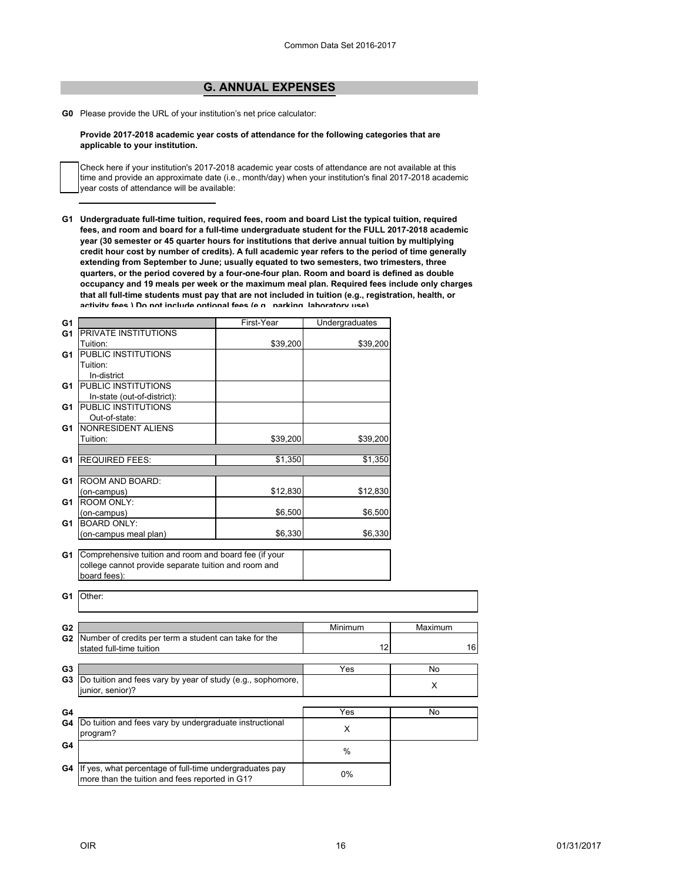# **[G. ANNUAL EXPENSES](#page-0-0)**

<span id="page-16-0"></span>**G0** Please provide the URL of your institution's net price calculator:

#### **Provide 2017-2018 academic year costs of attendance for the following categories that are applicable to your institution.**

Check here if your institution's 2017-2018 academic year costs of attendance are not available at this time and provide an approximate date (i.e., month/day) when your institution's final 2017-2018 academic year costs of attendance will be available:

**G1 Undergraduate full-time tuition, required fees, room and board List the typical tuition, required fees, and room and board for a full-time undergraduate student for the FULL 2017-2018 academic year (30 semester or 45 quarter hours for institutions that derive annual tuition by multiplying credit hour cost by number of credits). A full academic year refers to the period of time generally extending from September to June; usually equated to two semesters, two trimesters, three quarters, or the period covered by a four-one-four plan. Room and board is defined as double occupancy and 19 meals per week or the maximum meal plan. Required fees include only charges that all full-time students must pay that are not included in tuition (e.g., registration, health, or activity fees ) Do not include optional fees (e g parking laboratory use)**

| G <sub>1</sub> |                                                             | First-Year | Undergraduates |         |
|----------------|-------------------------------------------------------------|------------|----------------|---------|
| G <sub>1</sub> | <b>PRIVATE INSTITUTIONS</b>                                 |            |                |         |
|                | Tuition:                                                    | \$39,200   | \$39,200       |         |
| G1             | <b>PUBLIC INSTITUTIONS</b>                                  |            |                |         |
|                | Tuition:                                                    |            |                |         |
|                | In-district                                                 |            |                |         |
| G1             | <b>PUBLIC INSTITUTIONS</b>                                  |            |                |         |
|                | In-state (out-of-district):                                 |            |                |         |
| G1             | <b>PUBLIC INSTITUTIONS</b>                                  |            |                |         |
|                | Out-of-state:                                               |            |                |         |
| G1             | NONRESIDENT ALIENS                                          |            |                |         |
|                | Tuition:                                                    | \$39,200   | \$39,200       |         |
|                |                                                             |            |                |         |
| G1             | <b>REQUIRED FEES:</b>                                       | \$1,350    | \$1,350        |         |
|                |                                                             |            |                |         |
| G1             | ROOM AND BOARD:                                             |            |                |         |
|                | (on-campus)                                                 | \$12,830   | \$12,830       |         |
| G1             | <b>ROOM ONLY:</b>                                           |            |                |         |
|                | (on-campus)                                                 | \$6,500    | \$6,500        |         |
| G <sub>1</sub> | <b>BOARD ONLY:</b>                                          |            |                |         |
|                | (on-campus meal plan)                                       | \$6,330    | \$6,330        |         |
|                |                                                             |            |                |         |
| G1             | Comprehensive tuition and room and board fee (if your       |            |                |         |
|                | college cannot provide separate tuition and room and        |            |                |         |
|                | board fees):                                                |            |                |         |
|                |                                                             |            |                |         |
| G1             | Other:                                                      |            |                |         |
|                |                                                             |            |                |         |
|                |                                                             |            |                |         |
| G <sub>2</sub> |                                                             |            | Minimum        | Maximum |
|                | G2 Number of credits per term a student can take for the    |            |                |         |
|                | stated full-time tuition                                    |            | 12             | 16      |
|                |                                                             |            |                |         |
| G <sub>3</sub> |                                                             |            | Yes            | No      |
| G3             | Do tuition and fees vary by year of study (e.g., sophomore, |            |                | X       |
|                | junior, senior)?                                            |            |                |         |
|                |                                                             |            |                |         |
| G4             |                                                             |            | Yes            | No      |
| G4             | Do tuition and fees vary by undergraduate instructional     |            |                |         |
|                | program?                                                    |            | X              |         |
| G4             |                                                             |            |                |         |
|                |                                                             |            | $\%$           |         |
| G4             | If yes, what percentage of full-time undergraduates pay     |            |                |         |
|                | more than the tuition and fees reported in G1?              |            | 0%             |         |
|                |                                                             |            |                |         |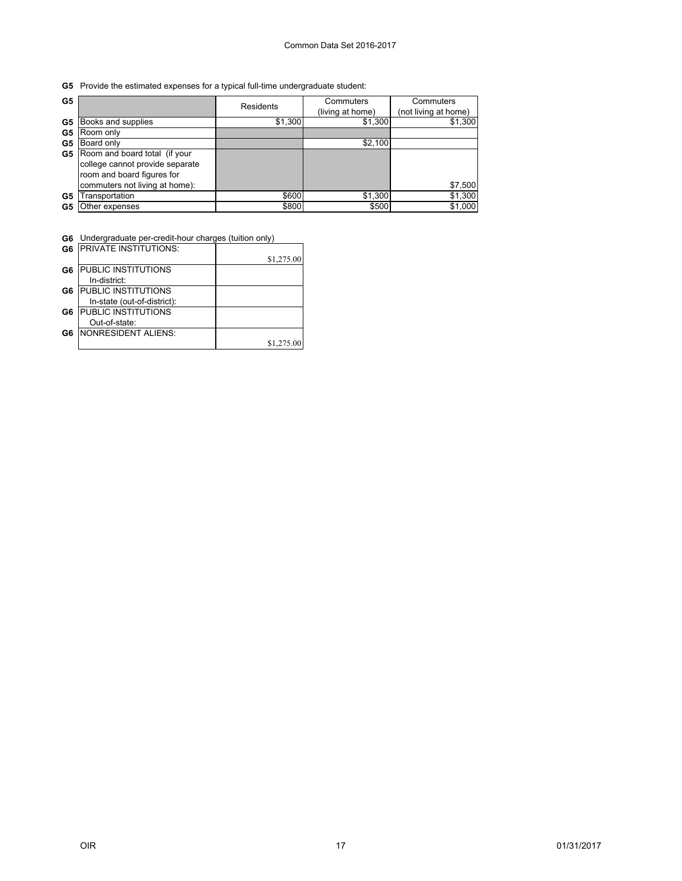**G5** Provide the estimated expenses for a typical full-time undergraduate student:

| G5 |                                 | Residents | Commuters<br>(living at home) | Commuters<br>(not living at home) |
|----|---------------------------------|-----------|-------------------------------|-----------------------------------|
| G5 | Books and supplies              | \$1,300   | \$1,300                       | \$1,300                           |
| G5 | Room only                       |           |                               |                                   |
| G5 | Board only                      |           | \$2,100                       |                                   |
| G5 | Room and board total (if your   |           |                               |                                   |
|    | college cannot provide separate |           |                               |                                   |
|    | room and board figures for      |           |                               |                                   |
|    | commuters not living at home):  |           |                               | \$7,500                           |
| G5 | Transportation                  | \$600     | \$1,300                       | \$1,300                           |
| G5 | Other expenses                  | \$800     | \$500                         | \$1,000                           |

**G6** Undergraduate per-credit-hour charges (tuition only)

|    | <b>G6 IPRIVATE INSTITUTIONS:</b> |            |
|----|----------------------------------|------------|
|    |                                  | \$1,275.00 |
| G6 | PUBLIC INSTITUTIONS              |            |
|    | In-district:                     |            |
| G6 | <b>PUBLIC INSTITUTIONS</b>       |            |
|    | In-state (out-of-district):      |            |
| G6 | PUBLIC INSTITUTIONS              |            |
|    | Out-of-state:                    |            |
| G6 | <b>NONRESIDENT ALIENS:</b>       |            |
|    |                                  | \$1,275.00 |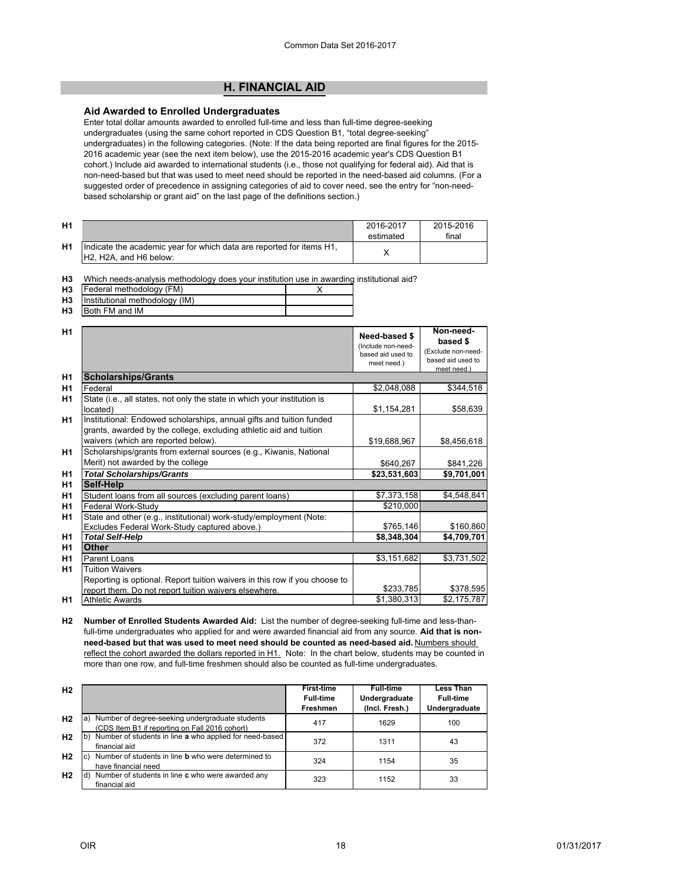# **[H. FINANCIAL AID](#page--1-0)**

## <span id="page-18-0"></span>**Aid Awarded to Enrolled Undergraduates**

Enter total dollar amounts awarded to enrolled full-time and less than full-time degree-seeking undergraduates (using the same cohort reported in CDS Question B1, "total degree-seeking" undergraduates) in the following categories. (Note: If the data being reported are final figures for the 2015- 2016 academic year (see the next item below), use the 2015-2016 academic year's CDS Question B1 cohort.) Include aid awarded to international students (i.e., those not qualifying for federal aid). Aid that is non-need-based but that was used to meet need should be reported in the need-based aid columns. (For a suggested order of precedence in assigning categories of aid to cover need, see the entry for "non-needbased scholarship or grant aid" on the last page of the definitions section.)

| H <sub>1</sub> |                                                                                                 | 2016-2017<br>estimated | 2015-2016<br>final |
|----------------|-------------------------------------------------------------------------------------------------|------------------------|--------------------|
| H <sub>1</sub> | Indicate the academic year for which data are reported for items H1.<br>IH2. H2A, and H6 below: |                        |                    |

| H3 Which needs-analysis methodology does your institution use in awarding institutional aid? |  |  |
|----------------------------------------------------------------------------------------------|--|--|
|----------------------------------------------------------------------------------------------|--|--|

| H <sub>3</sub> | [Federal methodology (FM) |  |
|----------------|---------------------------|--|
|                |                           |  |

- **H3** Institutional methodology (IM)
- **H3** Both FM and IM

| H1             |                                                                                                                                                                                   | Need-based \$<br>(Include non-need-<br>based aid used to<br>meet need.) | Non-need-<br>based \$<br>(Exclude non-need-<br>based aid used to<br>meet need.) |
|----------------|-----------------------------------------------------------------------------------------------------------------------------------------------------------------------------------|-------------------------------------------------------------------------|---------------------------------------------------------------------------------|
| H1             | <b>Scholarships/Grants</b>                                                                                                                                                        |                                                                         |                                                                                 |
| H1             | Federal                                                                                                                                                                           | \$2,048,088                                                             | \$344,518                                                                       |
| H1             | State (i.e., all states, not only the state in which your institution is<br>located)                                                                                              | \$1,154,281                                                             | \$58,639                                                                        |
| H <sub>1</sub> | Institutional: Endowed scholarships, annual gifts and tuition funded<br>grants, awarded by the college, excluding athletic aid and tuition<br>waivers (which are reported below). | \$19,688,967                                                            | \$8,456,618                                                                     |
| H1             | Scholarships/grants from external sources (e.g., Kiwanis, National<br>Merit) not awarded by the college                                                                           | \$640,267                                                               | \$841,226                                                                       |
| H1             | <b>Total Scholarships/Grants</b>                                                                                                                                                  | \$23,531,603                                                            | \$9,701,001                                                                     |
| H1             | Self-Help                                                                                                                                                                         |                                                                         |                                                                                 |
| H1             | Student loans from all sources (excluding parent loans)                                                                                                                           | \$7,373,158                                                             | \$4,548,841                                                                     |
| H <sub>1</sub> | Federal Work-Study                                                                                                                                                                | \$210,000                                                               |                                                                                 |
| H1             | State and other (e.g., institutional) work-study/employment (Note:                                                                                                                |                                                                         |                                                                                 |
|                | Excludes Federal Work-Study captured above.)                                                                                                                                      | \$765,146                                                               | \$160,860                                                                       |
| H <sub>1</sub> | <b>Total Self-Help</b>                                                                                                                                                            | \$8,348,304                                                             | \$4,709,701                                                                     |
| H <sub>1</sub> | <b>Other</b>                                                                                                                                                                      |                                                                         |                                                                                 |
| H <sub>1</sub> | Parent Loans                                                                                                                                                                      | \$3,151,682                                                             | \$3,731,502                                                                     |
| H1             | <b>Tuition Waivers</b>                                                                                                                                                            |                                                                         |                                                                                 |
|                | Reporting is optional. Report tuition waivers in this row if you choose to                                                                                                        |                                                                         |                                                                                 |
|                | report them. Do not report tuition waivers elsewhere.                                                                                                                             | \$233,785                                                               | \$378,595                                                                       |
| H1             | <b>Athletic Awards</b>                                                                                                                                                            | \$1,380,313                                                             | \$2,175,787                                                                     |

**H2 Number of Enrolled Students Awarded Aid:** List the number of degree-seeking full-time and less-thanfull-time undergraduates who applied for and were awarded financial aid from any source. **Aid that is non**need-based but that was used to meet need should be counted as need-based aid. Numbers should reflect the cohort awarded the dollars reported in H1. Note: In the chart below, students may be counted in more than one row, and full-time freshmen should also be counted as full-time undergraduates.

| H <sub>2</sub> |                                                                                                         | <b>First-time</b><br><b>Full-time</b><br>Freshmen | <b>Full-time</b><br>Undergraduate<br>(Incl. Fresh.) | <b>Less Than</b><br><b>Full-time</b><br>Undergraduate |
|----------------|---------------------------------------------------------------------------------------------------------|---------------------------------------------------|-----------------------------------------------------|-------------------------------------------------------|
| H <sub>2</sub> | Number of degree-seeking undergraduate students<br>a)<br>(CDS Item B1 if reporting on Fall 2016 cohort) | 417                                               | 1629                                                | 100                                                   |
| H <sub>2</sub> | Number of students in line a who applied for need-based<br>Ib<br>financial aid                          | 372                                               | 1311                                                | 43                                                    |
| H <sub>2</sub> | Number of students in line <b>b</b> who were determined to<br>IC.<br>have financial need                | 324                                               | 1154                                                | 35                                                    |
| H <sub>2</sub> | Number of students in line c who were awarded any<br>financial aid                                      | 323                                               | 1152                                                | 33                                                    |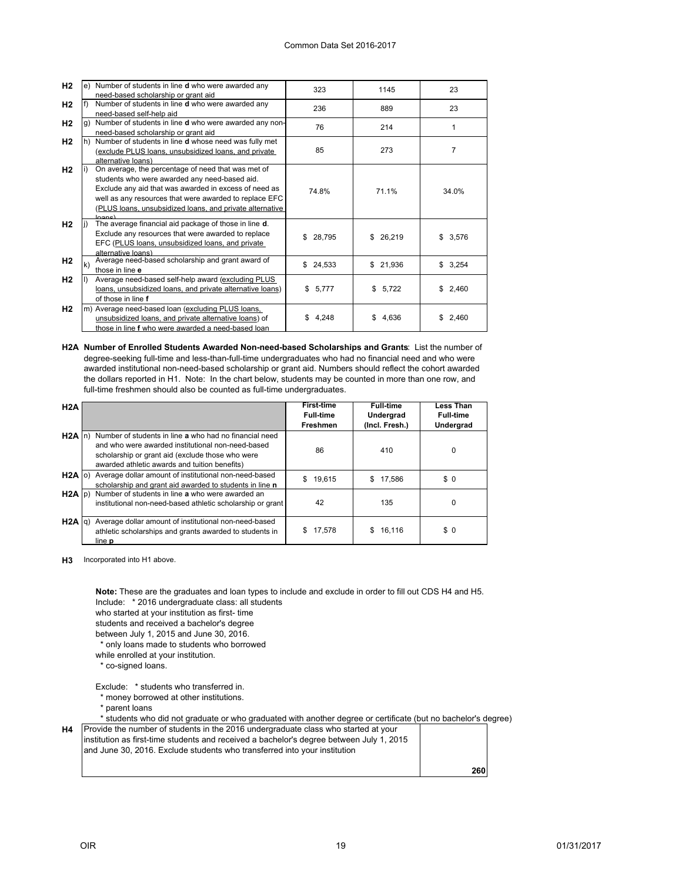| H2             |     | e) Number of students in line <b>d</b> who were awarded any | 323           | 1145        | 23             |
|----------------|-----|-------------------------------------------------------------|---------------|-------------|----------------|
|                |     | need-based scholarship or grant aid                         |               |             |                |
| H2             |     | Number of students in line <b>d</b> who were awarded any    | 236           | 889         | 23             |
|                |     | need-based self-help aid                                    |               |             |                |
| H <sub>2</sub> |     | Number of students in line d who were awarded any non-      | 76            | 214         | 1              |
|                |     | need-based scholarship or grant aid                         |               |             |                |
| H <sub>2</sub> |     | Number of students in line d whose need was fully met       |               |             |                |
|                |     | (exclude PLUS loans, unsubsidized loans, and private        | 85            | 273         | $\overline{7}$ |
|                |     | alternative loans)                                          |               |             |                |
| H <sub>2</sub> |     | On average, the percentage of need that was met of          |               |             |                |
|                |     | students who were awarded any need-based aid.               |               |             |                |
|                |     | Exclude any aid that was awarded in excess of need as       | 74.8%         | 71.1%       | 34.0%          |
|                |     | well as any resources that were awarded to replace EFC      |               |             |                |
|                |     | (PLUS loans, unsubsidized loans, and private alternative    |               |             |                |
|                |     | $\sim$                                                      |               |             |                |
| H2             |     | The average financial aid package of those in line d.       |               |             |                |
|                |     | Exclude any resources that were awarded to replace          | 28,795<br>\$. | \$26,219    | 3,576<br>\$    |
|                |     | EFC (PLUS loans, unsubsidized loans, and private            |               |             |                |
|                |     | alternative loans)                                          |               |             |                |
| H <sub>2</sub> | lk) | Average need-based scholarship and grant award of           | 24,533<br>\$  | \$21,936    | 3,254<br>\$    |
|                |     | those in line e                                             |               |             |                |
| H <sub>2</sub> |     | Average need-based self-help award (excluding PLUS          |               |             |                |
|                |     | loans, unsubsidized loans, and private alternative loans)   | \$5,777       | \$5,722     | \$2,460        |
|                |     | of those in line f                                          |               |             |                |
| H <sub>2</sub> |     | m) Average need-based loan (excluding PLUS loans.           |               |             |                |
|                |     | unsubsidized loans, and private alternative loans) of       | 4,248<br>\$.  | \$<br>4,636 | 2,460<br>S.    |
|                |     | those in line f who were awarded a need-based loan          |               |             |                |

**H2A Number of Enrolled Students Awarded Non-need-based Scholarships and Grants**: List the number of degree-seeking full-time and less-than-full-time undergraduates who had no financial need and who were awarded institutional non-need-based scholarship or grant aid. Numbers should reflect the cohort awarded the dollars reported in H1. Note: In the chart below, students may be counted in more than one row, and full-time freshmen should also be counted as full-time undergraduates.

| H2A               |                                                                                                                                                                                                                          | <b>First-time</b><br><b>Full-time</b> | <b>Full-time</b><br>Undergrad | <b>Less Than</b><br><b>Full-time</b> |
|-------------------|--------------------------------------------------------------------------------------------------------------------------------------------------------------------------------------------------------------------------|---------------------------------------|-------------------------------|--------------------------------------|
|                   |                                                                                                                                                                                                                          | <b>Freshmen</b>                       | (Incl. Fresh.)                | <b>Undergrad</b>                     |
|                   | H2A In) Number of students in line a who had no financial need<br>and who were awarded institutional non-need-based<br>scholarship or grant aid (exclude those who were<br>awarded athletic awards and tuition benefits) | 86                                    | 410                           | 0                                    |
| $H2A$ (c)         | Average dollar amount of institutional non-need-based<br>scholarship and grant aid awarded to students in line n                                                                                                         | 19.615<br>\$                          | \$17.586                      | \$0                                  |
| $H2A$ $ p\rangle$ | Number of students in line a who were awarded an<br>institutional non-need-based athletic scholarship or grant                                                                                                           | 42                                    | 135                           | 0                                    |
| $H2A$ $q$ )       | Average dollar amount of institutional non-need-based<br>athletic scholarships and grants awarded to students in<br>line <b>p</b>                                                                                        | 17,578<br>S.                          | 16,116<br>S                   | \$0                                  |

**H3** Incorporated into H1 above.

Include: \* 2016 undergraduate class: all students who started at your institution as first- time students and received a bachelor's degree between July 1, 2015 and June 30, 2016. \* only loans made to students who borrowed while enrolled at your institution. \* co-signed loans. Exclude: \* students who transferred in. \* money borrowed at other institutions. \* parent loans \* students who did not graduate or who graduated with another degree or certificate (but no bachelor's degree) **H4** Provide the number of students in the 2016 undergraduate class who started at your **Note:** These are the graduates and loan types to include and exclude in order to fill out CDS H4 and H5.

| linstitution as first-time students and received a bachelor's degree between July 1, 2015<br>and June 30, 2016. Exclude students who transferred into your institution |     |
|------------------------------------------------------------------------------------------------------------------------------------------------------------------------|-----|
|                                                                                                                                                                        | 260 |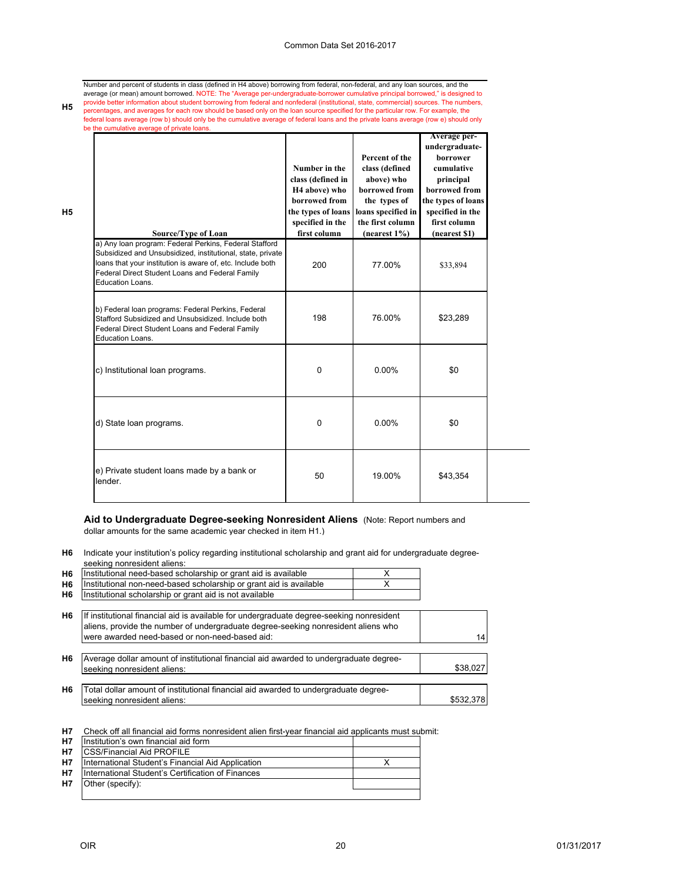Number and percent of students in class (defined in H4 above) borrowing from federal, non-federal, and any loan sources, and the average (or mean) amount borrowed. NOTE: The "Average per-undergraduate-borrower cumulative principal borrowed," is designed to<br>provide better information about student borrowing from federal and nonfederal (institutional, percentages, and averages for each row should be based only on the loan source specified for the particular row. For example, the federal loans average (row b) should only be the cumulative average of federal loans and the private loans average (row e) should only be the cumulative average of private loans.

| Source/Type of Loan                                                                                                                                                                                                                                       | Number in the<br>class (defined in<br>H <sub>4</sub> above) who<br>borrowed from<br>the types of loans<br>specified in the<br>first column | Percent of the<br>class (defined<br>above) who<br>borrowed from<br>the types of<br>loans specified in<br>the first column<br>(nearest 1%) | Average per-<br>undergraduate-<br>borrower<br>cumulative<br>principal<br>borrowed from<br>the types of loans<br>specified in the<br>first column<br>(nearest \$1) |
|-----------------------------------------------------------------------------------------------------------------------------------------------------------------------------------------------------------------------------------------------------------|--------------------------------------------------------------------------------------------------------------------------------------------|-------------------------------------------------------------------------------------------------------------------------------------------|-------------------------------------------------------------------------------------------------------------------------------------------------------------------|
| a) Any Ioan program: Federal Perkins, Federal Stafford<br>Subsidized and Unsubsidized, institutional, state, private<br>loans that your institution is aware of, etc. Include both<br>Federal Direct Student Loans and Federal Family<br>Education Loans. | 200                                                                                                                                        | 77.00%                                                                                                                                    | \$33,894                                                                                                                                                          |
| b) Federal loan programs: Federal Perkins, Federal<br>Stafford Subsidized and Unsubsidized, Include both<br>Federal Direct Student Loans and Federal Family<br>Education Loans.                                                                           | 198                                                                                                                                        | 76.00%                                                                                                                                    | \$23,289                                                                                                                                                          |
| c) Institutional loan programs.                                                                                                                                                                                                                           | 0                                                                                                                                          | $0.00\%$                                                                                                                                  | \$0                                                                                                                                                               |
| d) State loan programs.                                                                                                                                                                                                                                   | $\Omega$                                                                                                                                   | $0.00\%$                                                                                                                                  | \$0                                                                                                                                                               |
| e) Private student loans made by a bank or<br>lender.                                                                                                                                                                                                     | 50                                                                                                                                         | 19.00%                                                                                                                                    | \$43,354                                                                                                                                                          |

**Aid to Undergraduate Degree-seeking Nonresident Aliens** (Note: Report numbers and dollar amounts for the same academic year checked in item H1.)

**H6** Indicate your institution's policy regarding institutional scholarship and grant aid for undergraduate degreeseeking nonresident aliens:

| H <sub>6</sub> | Institutional need-based scholarship or grant aid is available                                                                                                                                                                  |   |           |
|----------------|---------------------------------------------------------------------------------------------------------------------------------------------------------------------------------------------------------------------------------|---|-----------|
| H <sub>6</sub> | Institutional non-need-based scholarship or grant aid is available                                                                                                                                                              | x |           |
| H6             | Institutional scholarship or grant aid is not available                                                                                                                                                                         |   |           |
| H6             | If institutional financial aid is available for undergraduate degree-seeking nonresident<br>aliens, provide the number of undergraduate degree-seeking nonresident aliens who<br>were awarded need-based or non-need-based aid: |   | 14        |
| H6             | Average dollar amount of institutional financial aid awarded to undergraduate degree-<br>seeking nonresident aliens:                                                                                                            |   | \$38,027  |
| H6             | Total dollar amount of institutional financial aid awarded to undergraduate degree-<br>seeking nonresident aliens:                                                                                                              |   | \$532.378 |

**H7** Check off all financial aid forms nonresident alien first-year financial aid applicants must submit:

| <b>H7</b> | Institution's own financial aid form              |  |
|-----------|---------------------------------------------------|--|
| <b>H7</b> | <b>CSS/Financial Aid PROFILE</b>                  |  |
| <b>H7</b> | International Student's Financial Aid Application |  |
| <b>H7</b> | International Student's Certification of Finances |  |
| H7        | Other (specify):                                  |  |
|           |                                                   |  |

**H5**

**H5**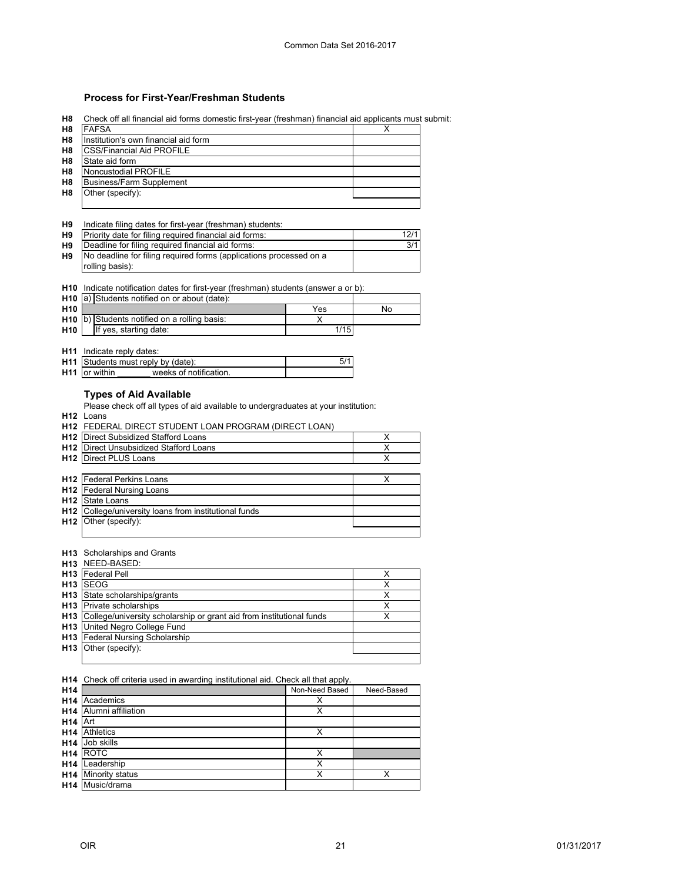## **Process for First-Year/Freshman Students**

**H8** Check off all financial aid forms domestic first-year (freshman) financial aid applicants must submit:

| H <sub>8</sub> | <b>FAFSA</b>                         |  |
|----------------|--------------------------------------|--|
| H <sub>8</sub> | Institution's own financial aid form |  |
| H <sub>8</sub> | <b>ICSS/Financial Aid PROFILE</b>    |  |
| H <sub>8</sub> | State aid form                       |  |
| H <sub>8</sub> | Noncustodial PROFILE                 |  |
| H <sub>8</sub> | Business/Farm Supplement             |  |
| H8             | Other (specify):                     |  |
|                |                                      |  |

#### **H9** Indicate filing dates for first-year (freshman) students:

| <b>H9</b> | Priority date for filing required financial aid forms:             | 12/1 |
|-----------|--------------------------------------------------------------------|------|
| H9        | Deadline for filing required financial aid forms:                  | 3/1  |
| H9        | No deadline for filing required forms (applications processed on a |      |
|           | rolling basis):                                                    |      |

#### **H10** Indicate notification dates for first-year (freshman) students (answer a or b):

|                 | <b>H10</b> a) Students notified on or about (date):      |      |    |
|-----------------|----------------------------------------------------------|------|----|
| H <sub>10</sub> |                                                          | Yes  | No |
|                 | H <sub>10</sub> b) Students notified on a rolling basis: |      |    |
| H <sub>10</sub> | If yes, starting date:                                   | 1/15 |    |

#### **H11** Indicate reply dates:

| <b>H11</b> Students must reply by (date):      |  |
|------------------------------------------------|--|
| <b>H11</b> or within<br>weeks of notification. |  |

# **Types of Aid Available**

Please check off all types of aid available to undergraduates at your institution:

**H12** Loans

**H12** FEDERAL DIRECT STUDENT LOAN PROGRAM (DIRECT LOAN)

| <b>H12</b> Direct Subsidized Stafford Loans   |  |
|-----------------------------------------------|--|
| <b>H12</b> Direct Unsubsidized Stafford Loans |  |
| <b>H12</b> Direct PLUS Loans                  |  |
|                                               |  |
| <b>H12</b> Federal Perkins Loans              |  |
| <b>H12</b> Federal Nursing Loans              |  |
| $\sim$                                        |  |

| <b>H12</b> State Loans                                       |  |
|--------------------------------------------------------------|--|
| <b>H12</b> College/university loans from institutional funds |  |
| $H12$ Other (specify):                                       |  |
|                                                              |  |

#### **H13** Scholarships and Grants

|                 | H13 NEED-BASED:                                                      |   |
|-----------------|----------------------------------------------------------------------|---|
|                 | <b>H13</b> Federal Pell                                              |   |
| H13             | <b>SEOG</b>                                                          |   |
| H <sub>13</sub> | State scholarships/grants                                            | х |
|                 | <b>H13</b> Private scholarships                                      | х |
| H13             | College/university scholarship or grant aid from institutional funds | х |
| H13             | United Negro College Fund                                            |   |
| H13             | <b>Federal Nursing Scholarship</b>                                   |   |
| H13             | Other (specify):                                                     |   |
|                 |                                                                      |   |

#### **H14** Check off criteria used in awarding institutional aid. Check all that apply.

| H <sub>14</sub> |                    | Non-Need Based | Need-Based |
|-----------------|--------------------|----------------|------------|
| H <sub>14</sub> | Academics          | х              |            |
| H <sub>14</sub> | Alumni affiliation | Χ              |            |
| H <sub>14</sub> | <b>IArt</b>        |                |            |
| H <sub>14</sub> | <b>Athletics</b>   | Х              |            |
| H <sub>14</sub> | Job skills         |                |            |
| H <sub>14</sub> | <b>IROTC</b>       | х              |            |
| H <sub>14</sub> | Leadership         | Х              |            |
| H <sub>14</sub> | Minority status    | Х              | x          |
| H <sub>14</sub> | Music/drama        |                |            |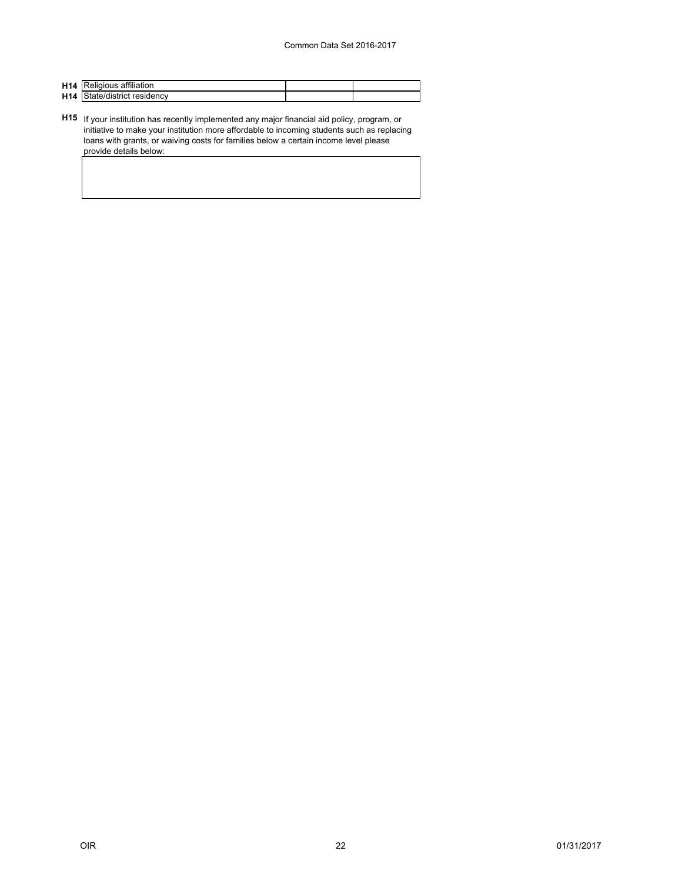| <b>H14</b> Religious affiliation    |  |
|-------------------------------------|--|
| <b>H14</b> State/district residency |  |

**H15** If your institution has recently implemented any major financial aid policy, program, or initiative to make your institution more affordable to incoming students such as replacing loans with grants, or waiving costs for families below a certain income level please provide details below: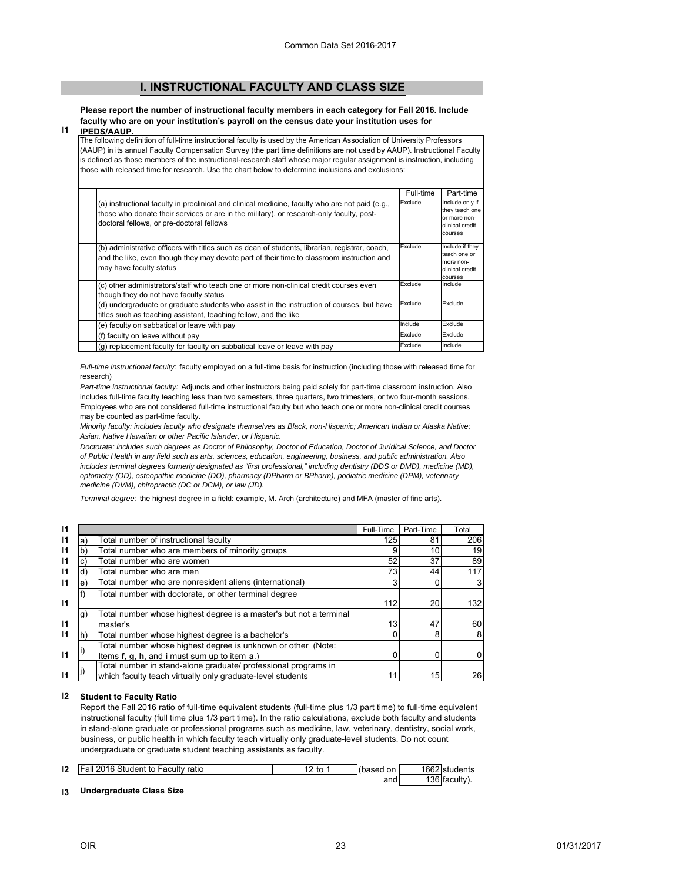# **[I. INSTRUCTIONAL FACULTY AND CLASS SIZE](#page--1-0)**

<span id="page-23-0"></span>**Please report the number of instructional faculty members in each category for Fall 2016. Include faculty who are on your institution's payroll on the census date your institution uses for** 

#### **I1 IPEDS/AAUP.**

The following definition of full-time instructional faculty is used by the American Association of University Professors (AAUP) in its annual Faculty Compensation Survey (the part time definitions are not used by AAUP). Instructional Faculty is defined as those members of the instructional-research staff whose major regular assignment is instruction, including those with released time for research. Use the chart below to determine inclusions and exclusions:

|                                                                                                                                                                                                                                          | Full-time | Part-time                                                                       |
|------------------------------------------------------------------------------------------------------------------------------------------------------------------------------------------------------------------------------------------|-----------|---------------------------------------------------------------------------------|
| (a) instructional faculty in preclinical and clinical medicine, faculty who are not paid (e.g.,<br>those who donate their services or are in the military), or research-only faculty, post-<br>doctoral fellows, or pre-doctoral fellows | Exclude   | Include only if<br>they teach one<br>or more non-<br>clinical credit<br>courses |
| (b) administrative officers with titles such as dean of students, librarian, registrar, coach,<br>and the like, even though they may devote part of their time to classroom instruction and<br>may have faculty status                   | Exclude   | Include if they<br>teach one or<br>more non-<br>clinical credit<br>courses      |
| (c) other administrators/staff who teach one or more non-clinical credit courses even<br>though they do not have faculty status                                                                                                          | Exclude   | Include                                                                         |
| (d) undergraduate or graduate students who assist in the instruction of courses, but have<br>titles such as teaching assistant, teaching fellow, and the like                                                                            | Exclude   | Exclude                                                                         |
| (e) faculty on sabbatical or leave with pay                                                                                                                                                                                              | Include   | Exclude                                                                         |
| (f) faculty on leave without pay                                                                                                                                                                                                         | Exclude   | Exclude                                                                         |
| (q) replacement faculty for faculty on sabbatical leave or leave with pay                                                                                                                                                                | Exclude   | Include                                                                         |

*Full-time instructional faculty:* faculty employed on a full-time basis for instruction (including those with released time for research)

*Part-time instructional faculty:* Adjuncts and other instructors being paid solely for part-time classroom instruction. Also includes full-time faculty teaching less than two semesters, three quarters, two trimesters, or two four-month sessions. Employees who are not considered full-time instructional faculty but who teach one or more non-clinical credit courses may be counted as part-time faculty.

*Minority faculty: includes faculty who designate themselves as Black, non-Hispanic; American Indian or Alaska Native; Asian, Native Hawaiian or other Pacific Islander, or Hispanic.* 

*Doctorate: includes such degrees as Doctor of Philosophy, Doctor of Education, Doctor of Juridical Science, and Doctor of Public Health in any field such as arts, sciences, education, engineering, business, and public administration. Also*  includes terminal degrees formerly designated as "first professional," including dentistry (DDS or DMD), medicine (MD), *optometry (OD), osteopathic medicine (DO), pharmacy (DPharm or BPharm), podiatric medicine (DPM), veterinary medicine (DVM), chiropractic (DC or DCM), or law (JD).*

*Terminal degree:* the highest degree in a field: example, M. Arch (architecture) and MFA (master of fine arts).

| $\mathsf{I}$ |    |                                                                    | Full-Time | Part-Time | Total          |
|--------------|----|--------------------------------------------------------------------|-----------|-----------|----------------|
| $\mathsf{I}$ | a) | Total number of instructional faculty                              | 125       | 81        | 206            |
| $\mathsf{I}$ | b) | Total number who are members of minority groups                    |           | 10        | 19             |
| $\mathsf{I}$ |    | Total number who are women                                         | 52        | 37        | 89             |
| $\mathbf{I}$ |    | Total number who are men                                           | 73        | 44        | 117            |
| $\mathbf{I}$ | e) | Total number who are nonresident aliens (international)            |           |           | 3              |
|              |    | Total number with doctorate, or other terminal degree              |           |           |                |
| $\mathbf{I}$ |    |                                                                    | 112       | 20        | 132            |
|              | g) | Total number whose highest degree is a master's but not a terminal |           |           |                |
| -11          |    | master's                                                           | 13        | 47        | 60             |
| $\mathsf{I}$ |    | Total number whose highest degree is a bachelor's                  |           | 8         | 8              |
|              |    | Total number whose highest degree is unknown or other (Note:       |           |           |                |
| $\mathbf{I}$ |    | Items f, g, h, and i must sum up to item a.)                       |           |           | $\overline{0}$ |
|              |    | Total number in stand-alone graduate/ professional programs in     |           |           |                |
| 11           |    | which faculty teach virtually only graduate-level students         |           | 15        | 26             |

#### **I2 Student to Faculty Ratio**

Report the Fall 2016 ratio of full-time equivalent students (full-time plus 1/3 part time) to full-time equivalent instructional faculty (full time plus 1/3 part time). In the ratio calculations, exclude both faculty and students in stand-alone graduate or professional programs such as medicine, law, veterinary, dentistry, social work, business, or public health in which faculty teach virtually only graduate-level students. Do not count undergraduate or graduate student teaching assistants as faculty.

| 12 | <b>Fall 2016 Student to Faculty ratio</b> | $2$ to | (based<br>on | 1662 students |
|----|-------------------------------------------|--------|--------------|---------------|
|    |                                           |        | and          | 136 faculty). |

#### **I3 Undergraduate Class Size**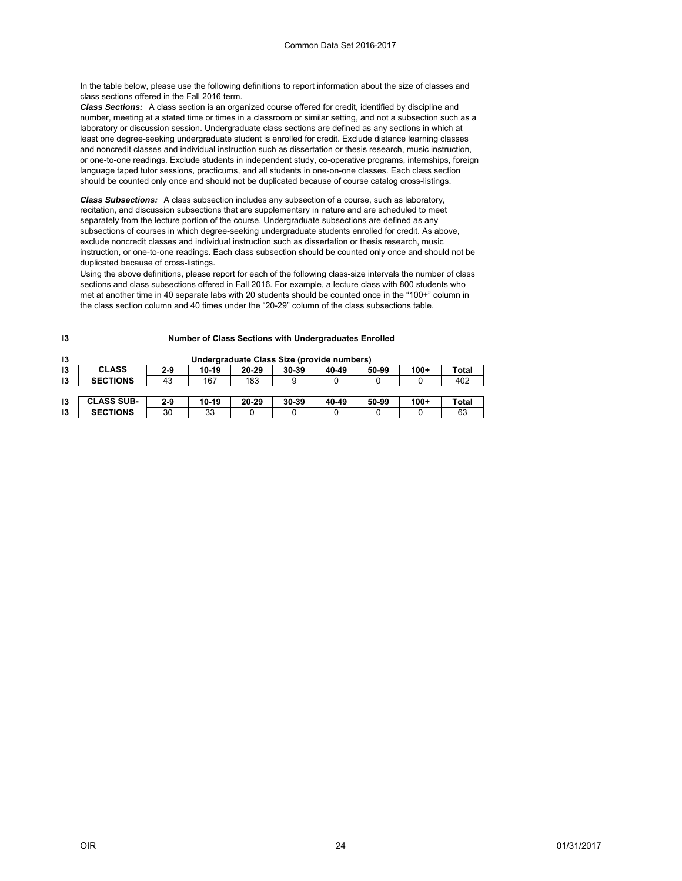In the table below, please use the following definitions to report information about the size of classes and class sections offered in the Fall 2016 term.

*Class Sections:* A class section is an organized course offered for credit, identified by discipline and number, meeting at a stated time or times in a classroom or similar setting, and not a subsection such as a laboratory or discussion session. Undergraduate class sections are defined as any sections in which at least one degree-seeking undergraduate student is enrolled for credit. Exclude distance learning classes and noncredit classes and individual instruction such as dissertation or thesis research, music instruction, or one-to-one readings. Exclude students in independent study, co-operative programs, internships, foreign language taped tutor sessions, practicums, and all students in one-on-one classes. Each class section should be counted only once and should not be duplicated because of course catalog cross-listings.

*Class Subsections:* A class subsection includes any subsection of a course, such as laboratory, recitation, and discussion subsections that are supplementary in nature and are scheduled to meet separately from the lecture portion of the course. Undergraduate subsections are defined as any subsections of courses in which degree-seeking undergraduate students enrolled for credit. As above, exclude noncredit classes and individual instruction such as dissertation or thesis research, music instruction, or one-to-one readings. Each class subsection should be counted only once and should not be duplicated because of cross-listings.

Using the above definitions, please report for each of the following class-size intervals the number of class sections and class subsections offered in Fall 2016. For example, a lecture class with 800 students who met at another time in 40 separate labs with 20 students should be counted once in the "100+" column in the class section column and 40 times under the "20-29" column of the class subsections table.

| 13 | Undergraduate Class Size (provide numbers) |         |         |       |           |       |       |        |       |
|----|--------------------------------------------|---------|---------|-------|-----------|-------|-------|--------|-------|
| 13 | <b>CLASS</b>                               | 2-9     | 10-19   | 20-29 | $30 - 39$ | 40-49 | 50-99 | $100+$ | Total |
| 13 | <b>SECTIONS</b>                            | 43      | 167     | 183   |           |       |       |        | 402   |
|    |                                            |         |         |       |           |       |       |        |       |
| 13 | <b>CLASS SUB-</b>                          | $2 - 9$ | $10-19$ | 20-29 | 30-39     | 40-49 | 50-99 | $100+$ | Total |
| 13 | <b>SECTIONS</b>                            | 30      | 33      |       |           |       |       |        | 63    |

#### **Number of Class Sections with Undergraduates Enrolled**

**I3**